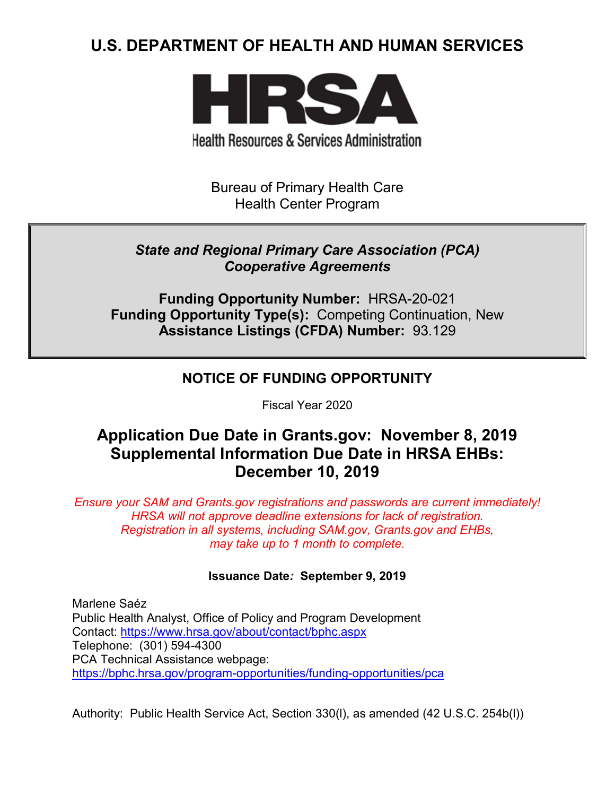# **U.S. DEPARTMENT OF HEALTH AND HUMAN SERVICES**



**Health Resources & Services Administration** 

Bureau of Primary Health Care Health Center Program

## *State and Regional Primary Care Association (PCA) Cooperative Agreements*

**Funding Opportunity Number:** HRSA-20-021 **Funding Opportunity Type(s):** Competing Continuation, New **Assistance Listings (CFDA) Number:** 93.129

## **NOTICE OF FUNDING OPPORTUNITY**

Fiscal Year 2020

# **Application Due Date in Grants.gov: November 8, 2019 Supplemental Information Due Date in HRSA EHBs: December 10, 2019**

*Ensure your SAM and Grants.gov registrations and passwords are current immediately! HRSA will not approve deadline extensions for lack of registration. Registration in all systems, including SAM.gov, Grants.gov and EHBs, may take up to 1 month to complete.*

### **Issuance Date***:* **September 9, 2019**

Marlene Saéz Public Health Analyst, Office of Policy and Program Development Contact:<https://www.hrsa.gov/about/contact/bphc.aspx> Telephone: (301) 594-4300 PCA Technical Assistance webpage: <https://bphc.hrsa.gov/program-opportunities/funding-opportunities/pca>

Authority: Public Health Service Act, Section 330(l), as amended (42 U.S.C. 254b(l))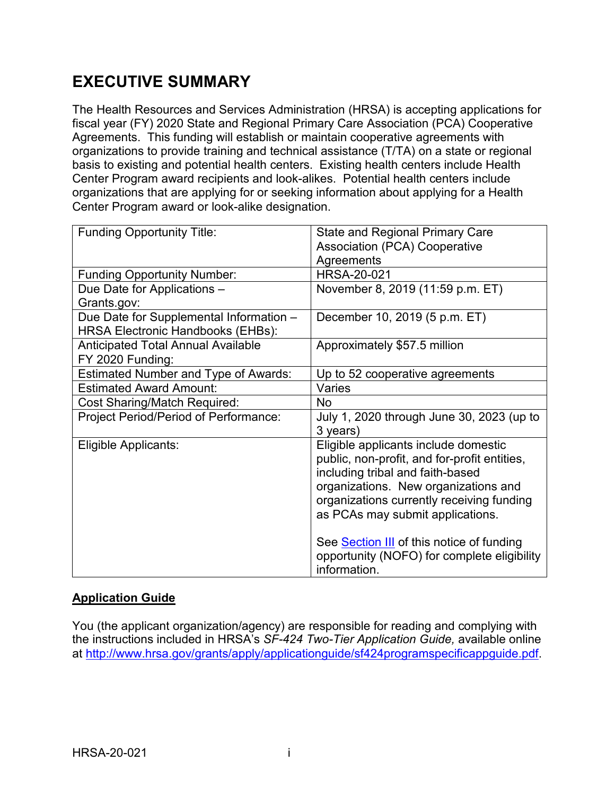# **EXECUTIVE SUMMARY**

The Health Resources and Services Administration (HRSA) is accepting applications for fiscal year (FY) 2020 State and Regional Primary Care Association (PCA) Cooperative Agreements. This funding will establish or maintain cooperative agreements with organizations to provide training and technical assistance (T/TA) on a state or regional basis to existing and potential health centers. Existing health centers include Health Center Program award recipients and look-alikes. Potential health centers include organizations that are applying for or seeking information about applying for a Health Center Program award or look-alike designation.

| <b>Funding Opportunity Title:</b>                                                   | <b>State and Regional Primary Care</b><br><b>Association (PCA) Cooperative</b>                                                                                                                                                                    |  |
|-------------------------------------------------------------------------------------|---------------------------------------------------------------------------------------------------------------------------------------------------------------------------------------------------------------------------------------------------|--|
|                                                                                     | Agreements                                                                                                                                                                                                                                        |  |
| <b>Funding Opportunity Number:</b>                                                  | <b>HRSA-20-021</b>                                                                                                                                                                                                                                |  |
| Due Date for Applications -<br>Grants.gov:                                          | November 8, 2019 (11:59 p.m. ET)                                                                                                                                                                                                                  |  |
| Due Date for Supplemental Information -<br><b>HRSA Electronic Handbooks (EHBs):</b> | December 10, 2019 (5 p.m. ET)                                                                                                                                                                                                                     |  |
| <b>Anticipated Total Annual Available</b><br>FY 2020 Funding:                       | Approximately \$57.5 million                                                                                                                                                                                                                      |  |
| <b>Estimated Number and Type of Awards:</b>                                         | Up to 52 cooperative agreements                                                                                                                                                                                                                   |  |
| <b>Estimated Award Amount:</b>                                                      | Varies                                                                                                                                                                                                                                            |  |
| <b>Cost Sharing/Match Required:</b>                                                 | No                                                                                                                                                                                                                                                |  |
| <b>Project Period/Period of Performance:</b>                                        | July 1, 2020 through June 30, 2023 (up to<br>3 years)                                                                                                                                                                                             |  |
| Eligible Applicants:                                                                | Eligible applicants include domestic<br>public, non-profit, and for-profit entities,<br>including tribal and faith-based<br>organizations. New organizations and<br>organizations currently receiving funding<br>as PCAs may submit applications. |  |
|                                                                                     | See Section III of this notice of funding<br>opportunity (NOFO) for complete eligibility<br>information.                                                                                                                                          |  |

### **Application Guide**

You (the applicant organization/agency) are responsible for reading and complying with the instructions included in HRSA's *SF-424 Two-Tier Application Guide,* available online at [http://www.hrsa.gov/grants/apply/applicationguide/sf424programspecificappguide.pdf.](http://www.hrsa.gov/grants/apply/applicationguide/sf424programspecificappguide.pdf)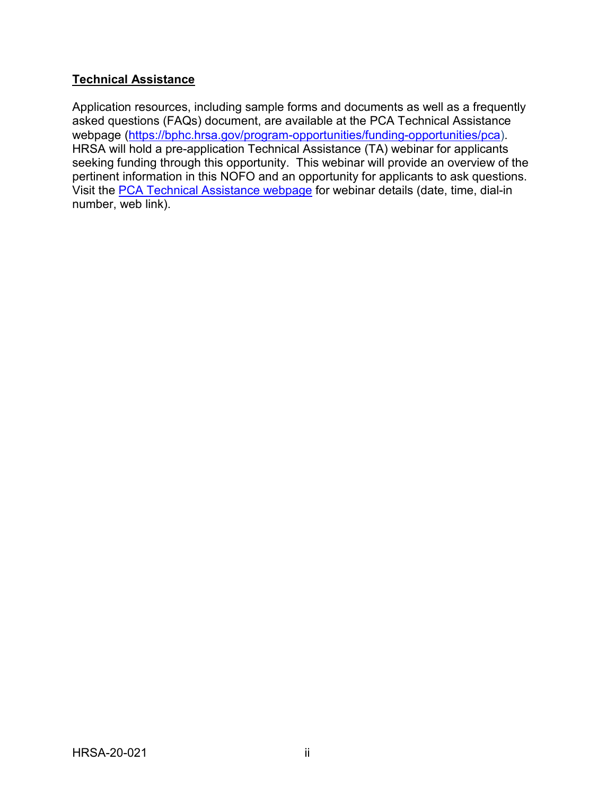### **Technical Assistance**

Application resources, including sample forms and documents as well as a frequently asked questions (FAQs) document, are available at the PCA Technical Assistance webpage [\(https://bphc.hrsa.gov/program-opportunities/funding-opportunities/pca\)](https://bphc.hrsa.gov/program-opportunities/funding-opportunities/pca). HRSA will hold a pre-application Technical Assistance (TA) webinar for applicants seeking funding through this opportunity. This webinar will provide an overview of the pertinent information in this NOFO and an opportunity for applicants to ask questions. Visit the [PCA Technical Assistance webpage](https://bphc.hrsa.gov/program-opportunities/funding-opportunities/pca) for webinar details (date, time, dial-in number, web link).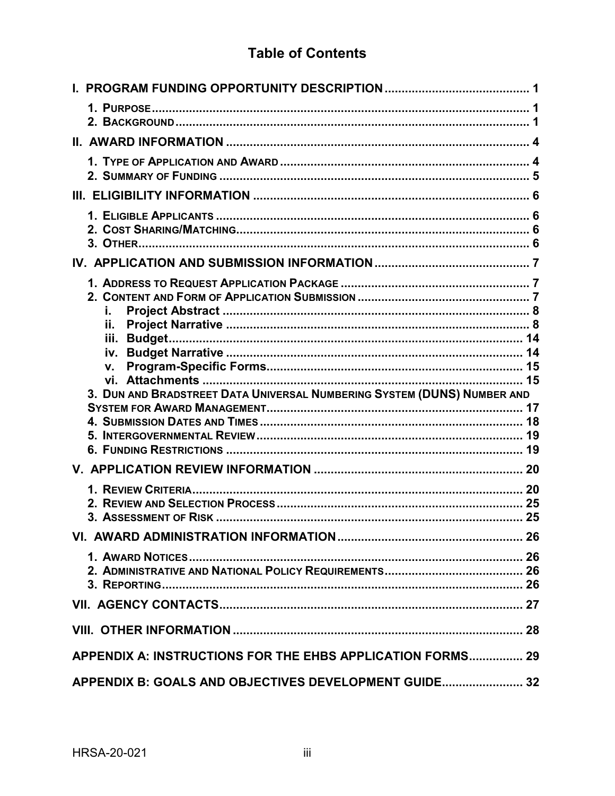# **Table of Contents**

| Ĭ.<br>ii.<br>v.                                                         |    |
|-------------------------------------------------------------------------|----|
| 3. DUN AND BRADSTREET DATA UNIVERSAL NUMBERING SYSTEM (DUNS) NUMBER AND | 17 |
|                                                                         | 18 |
|                                                                         |    |
|                                                                         |    |
|                                                                         |    |
|                                                                         |    |
|                                                                         |    |
|                                                                         |    |
|                                                                         |    |
|                                                                         |    |
|                                                                         |    |
|                                                                         |    |
|                                                                         |    |
|                                                                         |    |
| APPENDIX A: INSTRUCTIONS FOR THE EHBS APPLICATION FORMS 29              |    |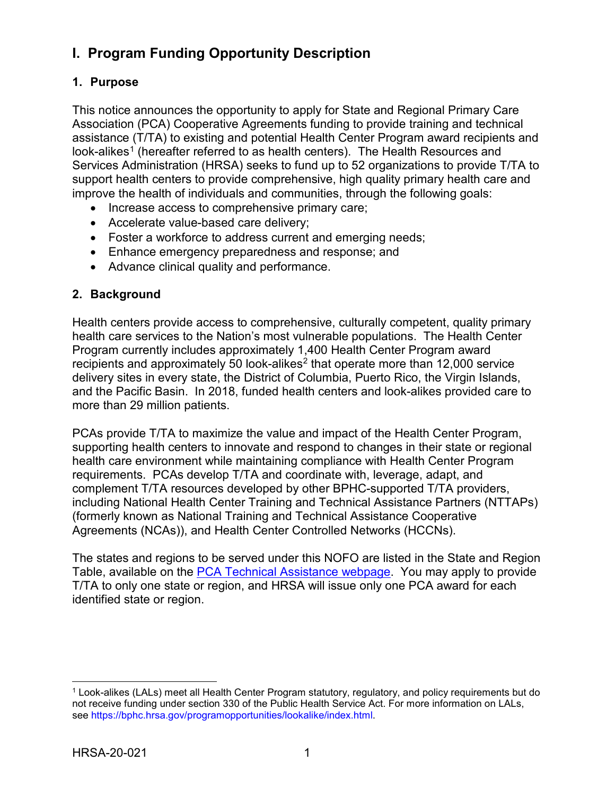# <span id="page-4-0"></span>**I. Program Funding Opportunity Description**

### <span id="page-4-1"></span>**1. Purpose**

This notice announces the opportunity to apply for State and Regional Primary Care Association (PCA) Cooperative Agreements funding to provide training and technical assistance (T/TA) to existing and potential Health Center Program award recipients and look-alikes<sup>[1](#page-4-3)</sup> (hereafter referred to as health centers). The Health Resources and Services Administration (HRSA) seeks to fund up to 52 organizations to provide T/TA to support health centers to provide comprehensive, high quality primary health care and improve the health of individuals and communities, through the following goals:

- Increase access to comprehensive primary care;
- Accelerate value-based care delivery;
- Foster a workforce to address current and emerging needs;
- Enhance emergency preparedness and response; and
- Advance clinical quality and performance.

#### <span id="page-4-2"></span>**2. Background**

Health centers provide access to comprehensive, culturally competent, quality primary health care services to the Nation's most vulnerable populations. The Health Center Program currently includes approximately 1,400 Health Center Program award recipients and approximately 50 look-alikes<sup>[2](#page-4-4)</sup> that operate more than 12,000 service delivery sites in every state, the District of Columbia, Puerto Rico, the Virgin Islands, and the Pacific Basin. In 2018, funded health centers and look-alikes provided care to more than 29 million patients.

PCAs provide T/TA to maximize the value and impact of the Health Center Program, supporting health centers to innovate and respond to changes in their state or regional health care environment while maintaining compliance with Health Center Program requirements. PCAs develop T/TA and coordinate with, leverage, adapt, and complement T/TA resources developed by other BPHC-supported T/TA providers, including National Health Center Training and Technical Assistance Partners (NTTAPs) (formerly known as National Training and Technical Assistance Cooperative Agreements (NCAs)), and Health Center Controlled Networks (HCCNs).

The states and regions to be served under this NOFO are listed in the State and Region Table, available on the [PCA Technical Assistance webpage.](https://bphc.hrsa.gov/program-opportunities/funding-opportunities/pca) You may apply to provide T/TA to only one state or region, and HRSA will issue only one PCA award for each identified state or region.

 $\overline{a}$ 

<span id="page-4-4"></span><span id="page-4-3"></span><sup>1</sup> Look-alikes (LALs) meet all Health Center Program statutory, regulatory, and policy requirements but do not receive funding under section 330 of the Public Health Service Act. For more information on LALs, see https://bphc.hrsa.gov/programopportunities/lookalike/index.html.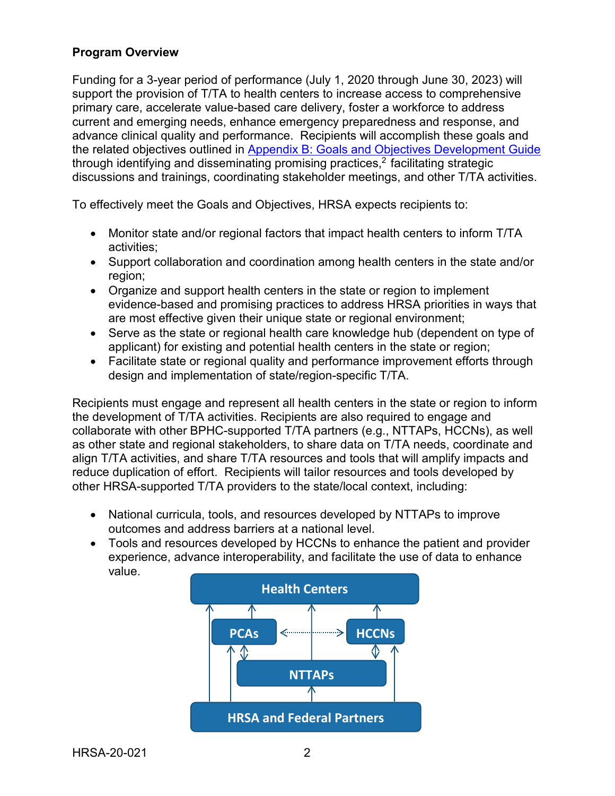### **Program Overview**

Funding for a 3-year period of performance (July 1, 2020 through June 30, 2023) will support the provision of T/TA to health centers to increase access to comprehensive primary care, accelerate value-based care delivery, foster a workforce to address current and emerging needs, enhance emergency preparedness and response, and advance clinical quality and performance. Recipients will accomplish these goals and the related objectives outlined in [Appendix B: Goals and Objectives Development Guide](#page-35-0) through identifying and disseminating promising practices, <sup>2</sup> facilitating strategic discussions and trainings, coordinating stakeholder meetings, and other T/TA activities.

To effectively meet the Goals and Objectives, HRSA expects recipients to:

- Monitor state and/or regional factors that impact health centers to inform T/TA activities;
- Support collaboration and coordination among health centers in the state and/or region;
- Organize and support health centers in the state or region to implement evidence-based and promising practices to address HRSA priorities in ways that are most effective given their unique state or regional environment;
- Serve as the state or regional health care knowledge hub (dependent on type of applicant) for existing and potential health centers in the state or region;
- Facilitate state or regional quality and performance improvement efforts through design and implementation of state/region-specific T/TA.

Recipients must engage and represent all health centers in the state or region to inform the development of T/TA activities. Recipients are also required to engage and collaborate with other BPHC-supported T/TA partners (e.g., NTTAPs, HCCNs), as well as other state and regional stakeholders, to share data on T/TA needs, coordinate and align T/TA activities, and share T/TA resources and tools that will amplify impacts and reduce duplication of effort. Recipients will tailor resources and tools developed by other HRSA-supported T/TA providers to the state/local context, including:

- National curricula, tools, and resources developed by NTTAPs to improve outcomes and address barriers at a national level.
- Tools and resources developed by HCCNs to enhance the patient and provider experience, advance interoperability, and facilitate the use of data to enhance value.

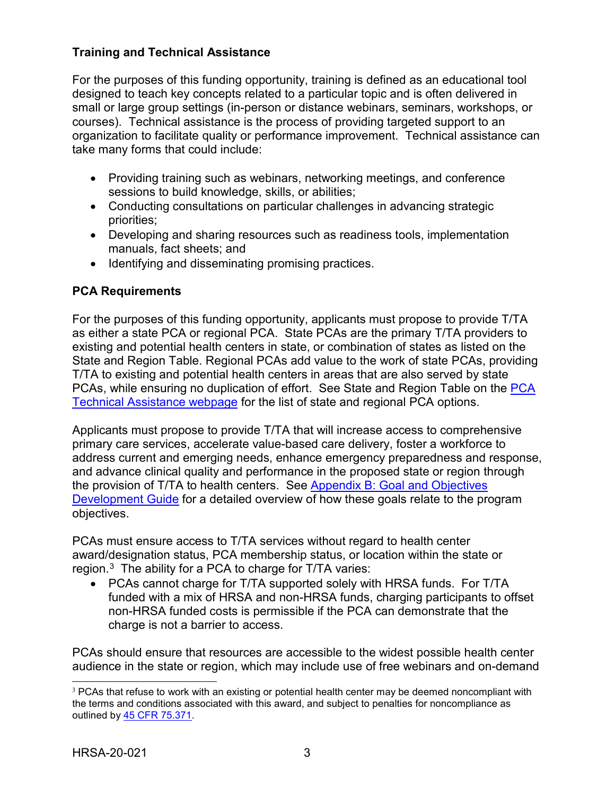### **Training and Technical Assistance**

For the purposes of this funding opportunity, training is defined as an educational tool designed to teach key concepts related to a particular topic and is often delivered in small or large group settings (in-person or distance webinars, seminars, workshops, or courses). Technical assistance is the process of providing targeted support to an organization to facilitate quality or performance improvement. Technical assistance can take many forms that could include:

- Providing training such as webinars, networking meetings, and conference sessions to build knowledge, skills, or abilities;
- Conducting consultations on particular challenges in advancing strategic priorities;
- Developing and sharing resources such as readiness tools, implementation manuals, fact sheets; and
- Identifying and disseminating promising practices.

### <span id="page-6-1"></span>**PCA Requirements**

For the purposes of this funding opportunity, applicants must propose to provide T/TA as either a state PCA or regional PCA. State PCAs are the primary T/TA providers to existing and potential health centers in state, or combination of states as listed on the State and Region Table. Regional PCAs add value to the work of state PCAs, providing T/TA to existing and potential health centers in areas that are also served by state PCAs, while ensuring no duplication of effort. See State and Region Table on the [PCA](https://bphc.hrsa.gov/program-opportunities/funding-opportunities/pca)  [Technical Assistance webpage](https://bphc.hrsa.gov/program-opportunities/funding-opportunities/pca) for the list of state and regional PCA options.

Applicants must propose to provide T/TA that will increase access to comprehensive primary care services, accelerate value-based care delivery, foster a workforce to address current and emerging needs, enhance emergency preparedness and response, and advance clinical quality and performance in the proposed state or region through the provision of T/TA to health centers. See [Appendix B: Goal and Objectives](#page-35-0) [Development Guide](#page-35-0) for a detailed overview of how these goals relate to the program objectives.

PCAs must ensure access to T/TA services without regard to health center award/designation status, PCA membership status, or location within the state or region. $^3\,$  $^3\,$  $^3\,$  The ability for a PCA to charge for T/TA varies:

• PCAs cannot charge for T/TA supported solely with HRSA funds. For T/TA funded with a mix of HRSA and non-HRSA funds, charging participants to offset non-HRSA funded costs is permissible if the PCA can demonstrate that the charge is not a barrier to access.

PCAs should ensure that resources are accessible to the widest possible health center audience in the state or region, which may include use of free webinars and on-demand

<span id="page-6-0"></span><sup>&</sup>lt;sup>3</sup> PCAs that refuse to work with an existing or potential health center may be deemed noncompliant with the terms and conditions associated with this award, and subject to penalties for noncompliance as outlined by [45 CFR 75.371.](http://www.ecfr.gov/cgi-bin/text-idx?node=pt45.1.75&rgn=div5#se45.1.75_1371)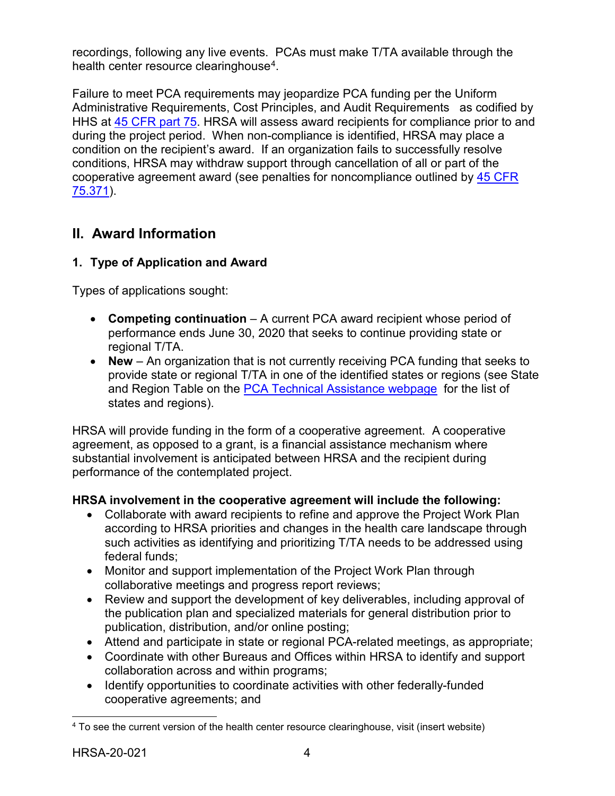recordings, following any live events. PCAs must make T/TA available through the health center resource clearinghouse<sup>[4](#page-7-2)</sup>.

Failure to meet PCA requirements may jeopardize PCA funding per the Uniform Administrative Requirements, Cost Principles, and Audit Requirements as codified by HHS at [45 CFR part 75.](http://www.ecfr.gov/cgi-bin/retrieveECFR?gp=1&SID=4d52364ec83fab994c665943dadf9cf7&ty=HTML&h=L&r=PART&n=pt45.1.75) HRSA will assess award recipients for compliance prior to and during the project period. When non-compliance is identified, HRSA may place a condition on the recipient's award. If an organization fails to successfully resolve conditions, HRSA may withdraw support through cancellation of all or part of the cooperative agreement award (see penalties for noncompliance outlined by [45 CFR](http://www.ecfr.gov/cgi-bin/text-idx?node=pt45.1.75&rgn=div5#se45.1.75_1371)  [75.371\)](http://www.ecfr.gov/cgi-bin/text-idx?node=pt45.1.75&rgn=div5#se45.1.75_1371).

## <span id="page-7-0"></span>**II. Award Information**

### <span id="page-7-1"></span>**1. Type of Application and Award**

Types of applications sought:

- **Competing continuation** A current PCA award recipient whose period of performance ends June 30, 2020 that seeks to continue providing state or regional T/TA.
- **New** An organization that is not currently receiving PCA funding that seeks to provide state or regional T/TA in one of the identified states or regions (see State and Region Table on the [PCA Technical Assistance webpage](https://bphc.hrsa.gov/program-opportunities/funding-opportunities/pca) for the list of states and regions).

HRSA will provide funding in the form of a cooperative agreement. A cooperative agreement, as opposed to a grant, is a financial assistance mechanism where substantial involvement is anticipated between HRSA and the recipient during performance of the contemplated project.

### **HRSA involvement in the cooperative agreement will include the following:**

- Collaborate with award recipients to refine and approve the Project Work Plan according to HRSA priorities and changes in the health care landscape through such activities as identifying and prioritizing T/TA needs to be addressed using federal funds;
- Monitor and support implementation of the Project Work Plan through collaborative meetings and progress report reviews;
- Review and support the development of key deliverables, including approval of the publication plan and specialized materials for general distribution prior to publication, distribution, and/or online posting;
- Attend and participate in state or regional PCA-related meetings, as appropriate;
- Coordinate with other Bureaus and Offices within HRSA to identify and support collaboration across and within programs;
- Identify opportunities to coordinate activities with other federally-funded cooperative agreements; and

 $\overline{a}$ 

<span id="page-7-2"></span><sup>4</sup> To see the current version of the health center resource clearinghouse, visit (insert website)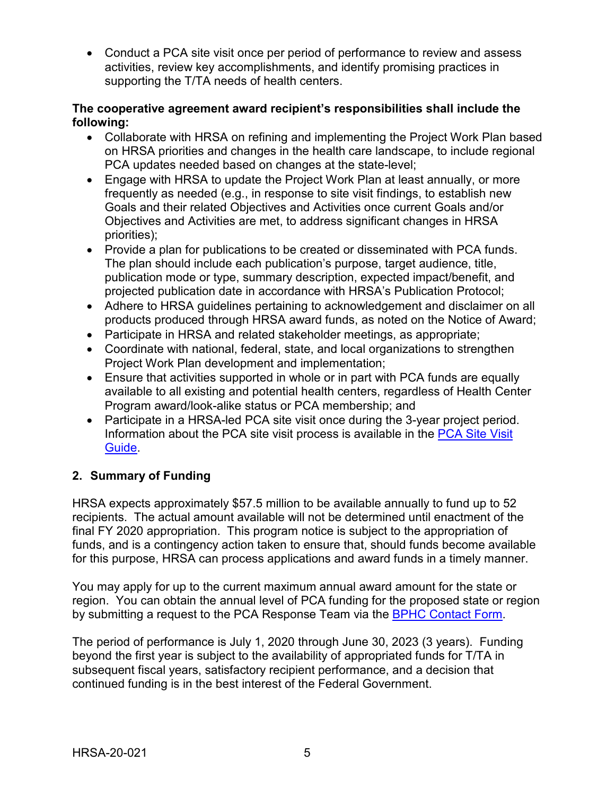• Conduct a PCA site visit once per period of performance to review and assess activities, review key accomplishments, and identify promising practices in supporting the T/TA needs of health centers.

#### **The cooperative agreement award recipient's responsibilities shall include the following:**

- Collaborate with HRSA on refining and implementing the Project Work Plan based on HRSA priorities and changes in the health care landscape, to include regional PCA updates needed based on changes at the state-level;
- Engage with HRSA to update the Project Work Plan at least annually, or more frequently as needed (e.g., in response to site visit findings, to establish new Goals and their related Objectives and Activities once current Goals and/or Objectives and Activities are met, to address significant changes in HRSA priorities);
- Provide a plan for publications to be created or disseminated with PCA funds. The plan should include each publication's purpose, target audience, title, publication mode or type, summary description, expected impact/benefit, and projected publication date in accordance with HRSA's Publication Protocol;
- Adhere to HRSA guidelines pertaining to acknowledgement and disclaimer on all products produced through HRSA award funds, as noted on the Notice of Award;
- Participate in HRSA and related stakeholder meetings, as appropriate;
- Coordinate with national, federal, state, and local organizations to strengthen Project Work Plan development and implementation;
- Ensure that activities supported in whole or in part with PCA funds are equally available to all existing and potential health centers, regardless of Health Center Program award/look-alike status or PCA membership; and
- Participate in a HRSA-led PCA site visit once during the 3-year project period. Information about the PCA site visit process is available in the [PCA Site Visit](http://www.bphc.hrsa.gov/programrequirements/pdf/pcasitevisitguide.pdf)  [Guide.](http://www.bphc.hrsa.gov/programrequirements/pdf/pcasitevisitguide.pdf)

### <span id="page-8-0"></span>**2. Summary of Funding**

HRSA expects approximately \$57.5 million to be available annually to fund up to 52 recipients. The actual amount available will not be determined until enactment of the final FY 2020 appropriation. This program notice is subject to the appropriation of funds, and is a contingency action taken to ensure that, should funds become available for this purpose, HRSA can process applications and award funds in a timely manner.

You may apply for up to the current maximum annual award amount for the state or region. You can obtain the annual level of PCA funding for the proposed state or region by submitting a request to the PCA Response Team via the [BPHC Contact Form.](https://bphccommunications.secure.force.com/ContactBPHC/BPHC_Contact_Form)

The period of performance is July 1, 2020 through June 30, 2023 (3 years). Funding beyond the first year is subject to the availability of appropriated funds for T/TA in subsequent fiscal years, satisfactory recipient performance, and a decision that continued funding is in the best interest of the Federal Government.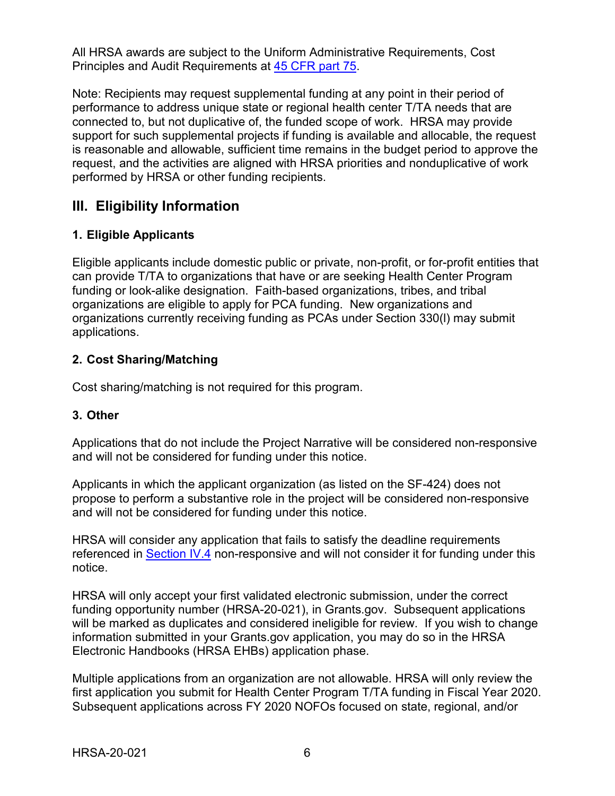All HRSA awards are subject to the Uniform Administrative Requirements, Cost Principles and Audit Requirements at [45 CFR part 75.](http://www.ecfr.gov/cgi-bin/retrieveECFR?gp=1&SID=4d52364ec83fab994c665943dadf9cf7&ty=HTML&h=L&r=PART&n=pt45.1.75)

Note: Recipients may request supplemental funding at any point in their period of performance to address unique state or regional health center T/TA needs that are connected to, but not duplicative of, the funded scope of work. HRSA may provide support for such supplemental projects if funding is available and allocable, the request is reasonable and allowable, sufficient time remains in the budget period to approve the request, and the activities are aligned with HRSA priorities and nonduplicative of work performed by HRSA or other funding recipients.

# <span id="page-9-1"></span>**III. Eligibility Information**

### <span id="page-9-0"></span>**1. Eligible Applicants**

Eligible applicants include domestic public or private, non-profit, or for-profit entities that can provide T/TA to organizations that have or are seeking Health Center Program funding or look-alike designation. Faith-based organizations, tribes, and tribal organizations are eligible to apply for PCA funding. New organizations and organizations currently receiving funding as PCAs under Section 330(l) may submit applications.

### <span id="page-9-2"></span>**2. Cost Sharing/Matching**

Cost sharing/matching is not required for this program.

### <span id="page-9-3"></span>**3. Other**

Applications that do not include the Project Narrative will be considered non-responsive and will not be considered for funding under this notice.

Applicants in which the applicant organization (as listed on the SF-424) does not propose to perform a substantive role in the project will be considered non-responsive and will not be considered for funding under this notice.

HRSA will consider any application that fails to satisfy the deadline requirements referenced in [Section IV.4](#page-10-0) non-responsive and will not consider it for funding under this notice.

HRSA will only accept your first validated electronic submission, under the correct funding opportunity number (HRSA-20-021), in Grants.gov. Subsequent applications will be marked as duplicates and considered ineligible for review. If you wish to change information submitted in your Grants.gov application, you may do so in the HRSA Electronic Handbooks (HRSA EHBs) application phase.

Multiple applications from an organization are not allowable. HRSA will only review the first application you submit for Health Center Program T/TA funding in Fiscal Year 2020. Subsequent applications across FY 2020 NOFOs focused on state, regional, and/or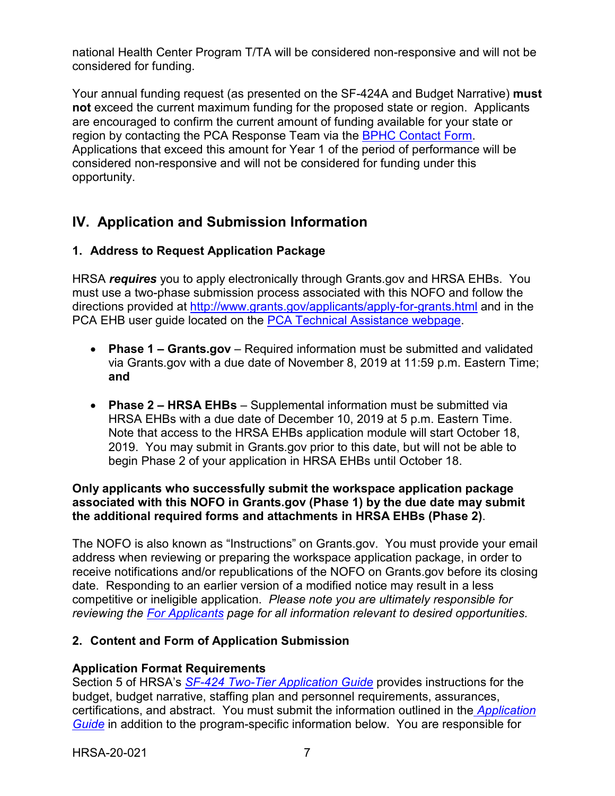national Health Center Program T/TA will be considered non-responsive and will not be considered for funding.

Your annual funding request (as presented on the SF-424A and Budget Narrative) **must not** exceed the current maximum funding for the proposed state or region. Applicants are encouraged to confirm the current amount of funding available for your state or region by contacting the PCA Response Team via the [BPHC Contact Form.](https://bphccommunications.secure.force.com/ContactBPHC/BPHC_Contact_Form) Applications that exceed this amount for Year 1 of the period of performance will be considered non-responsive and will not be considered for funding under this opportunity.

# <span id="page-10-0"></span>**IV. Application and Submission Information**

### <span id="page-10-1"></span>**1. Address to Request Application Package**

HRSA *requires* you to apply electronically through Grants.gov and HRSA EHBs. You must use a two-phase submission process associated with this NOFO and follow the directions provided at<http://www.grants.gov/applicants/apply-for-grants.html> and in the PCA EHB user guide located on the [PCA Technical Assistance webpage.](https://bphc.hrsa.gov/program-opportunities/funding-opportunities/pca)

- **Phase 1 – Grants.gov**  Required information must be submitted and validated via Grants.gov with a due date of November 8, 2019 at 11:59 p.m. Eastern Time; **and**
- **Phase 2 – HRSA EHBs** Supplemental information must be submitted via HRSA EHBs with a due date of December 10, 2019 at 5 p.m. Eastern Time. Note that access to the HRSA EHBs application module will start October 18, 2019. You may submit in Grants.gov prior to this date, but will not be able to begin Phase 2 of your application in HRSA EHBs until October 18.

#### **Only applicants who successfully submit the workspace application package associated with this NOFO in Grants.gov (Phase 1) by the due date may submit the additional required forms and attachments in HRSA EHBs (Phase 2)**.

The NOFO is also known as "Instructions" on Grants.gov. You must provide your email address when reviewing or preparing the workspace application package, in order to receive notifications and/or republications of the NOFO on Grants.gov before its closing date. Responding to an earlier version of a modified notice may result in a less competitive or ineligible application. *Please note you are ultimately responsible for reviewing the [For Applicants](https://www.grants.gov/web/grants/applicants.html) page for all information relevant to desired opportunities.*

### <span id="page-10-2"></span>**2. Content and Form of Application Submission**

### **Application Format Requirements**

Section 5 of HRSA's *SF-424 [Two-Tier Application Guide](http://www.hrsa.gov/grants/apply/applicationguide/sf424programspecificappguide.pdf)* provides instructions for the budget, budget narrative, staffing plan and personnel requirements, assurances, certifications, and abstract. You must submit the information outlined in the *[Application](http://www.hrsa.gov/grants/apply/applicationguide/sf424programspecificappguide.pdf)  [Guide](http://www.hrsa.gov/grants/apply/applicationguide/sf424programspecificappguide.pdf)* in addition to the program-specific information below. You are responsible for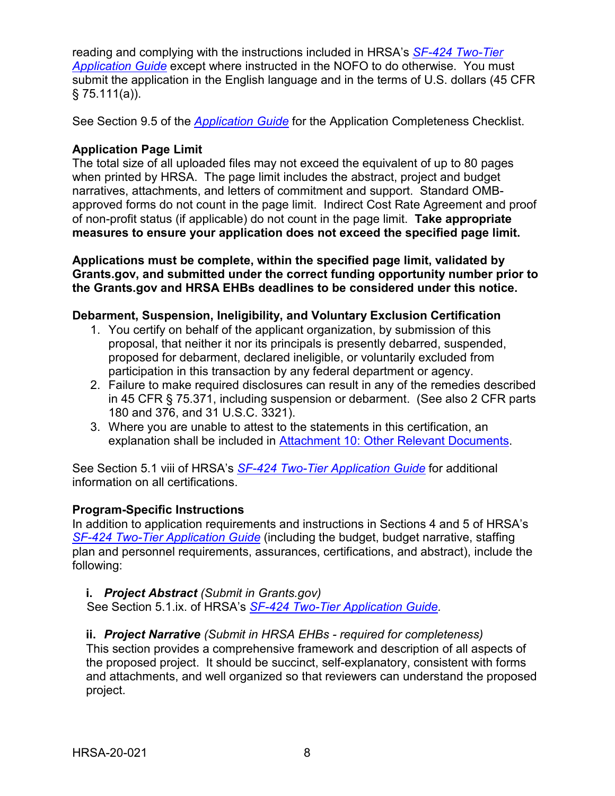reading and complying with the instructions included in HRSA's *SF-424 [Two-Tier](http://www.hrsa.gov/grants/apply/applicationguide/sf424programspecificappguide.pdf)  [Application Guide](http://www.hrsa.gov/grants/apply/applicationguide/sf424programspecificappguide.pdf)* except where instructed in the NOFO to do otherwise. You must submit the application in the English language and in the terms of U.S. dollars (45 CFR  $§ 75.111(a)$ ).

See Section 9.5 of the *[Application Guide](http://www.hrsa.gov/grants/apply/applicationguide/sf424programspecificappguide.pdf)* for the Application Completeness Checklist.

### **Application Page Limit**

The total size of all uploaded files may not exceed the equivalent of up to 80 pages when printed by HRSA. The page limit includes the abstract, project and budget narratives, attachments, and letters of commitment and support. Standard OMBapproved forms do not count in the page limit. Indirect Cost Rate Agreement and proof of non-profit status (if applicable) do not count in the page limit. **Take appropriate measures to ensure your application does not exceed the specified page limit.**

**Applications must be complete, within the specified page limit, validated by Grants.gov, and submitted under the correct funding opportunity number prior to the Grants.gov and HRSA EHBs deadlines to be considered under this notice.**

#### **Debarment, Suspension, Ineligibility, and Voluntary Exclusion Certification**

- 1. You certify on behalf of the applicant organization, by submission of this proposal, that neither it nor its principals is presently debarred, suspended, proposed for debarment, declared ineligible, or voluntarily excluded from participation in this transaction by any federal department or agency.
- 2. Failure to make required disclosures can result in any of the remedies described in 45 CFR § 75.371, including suspension or debarment. (See also 2 CFR parts 180 and 376, and 31 U.S.C. 3321).
- 3. Where you are unable to attest to the statements in this certification, an explanation shall be included in [Attachment 10: Other Relevant Documents.](#page-18-1)

See Section 5.1 viii of HRSA's *SF-424 [Two-Tier Application Guide](http://www.hrsa.gov/grants/apply/applicationguide/sf424programspecificappguide.pdf)* for additional information on all certifications.

### **Program-Specific Instructions**

In addition to application requirements and instructions in Sections 4 and 5 of HRSA's *SF-424 [Two-Tier Application Guide](http://www.hrsa.gov/grants/apply/applicationguide/sf424programspecificappguide.pdf)* (including the budget, budget narrative, staffing plan and personnel requirements, assurances, certifications, and abstract), include the following:

#### <span id="page-11-0"></span>**i.** *Project Abstract (Submit in Grants.gov)*

See Section 5.1.ix. of HRSA's *SF-424 [Two-Tier Application Guide.](http://www.hrsa.gov/grants/apply/applicationguide/sf424programspecificappguide.pdf)*

### <span id="page-11-1"></span>**ii.** *Project Narrative (Submit in HRSA EHBs - required for completeness)*

This section provides a comprehensive framework and description of all aspects of the proposed project. It should be succinct, self-explanatory, consistent with forms and attachments, and well organized so that reviewers can understand the proposed project.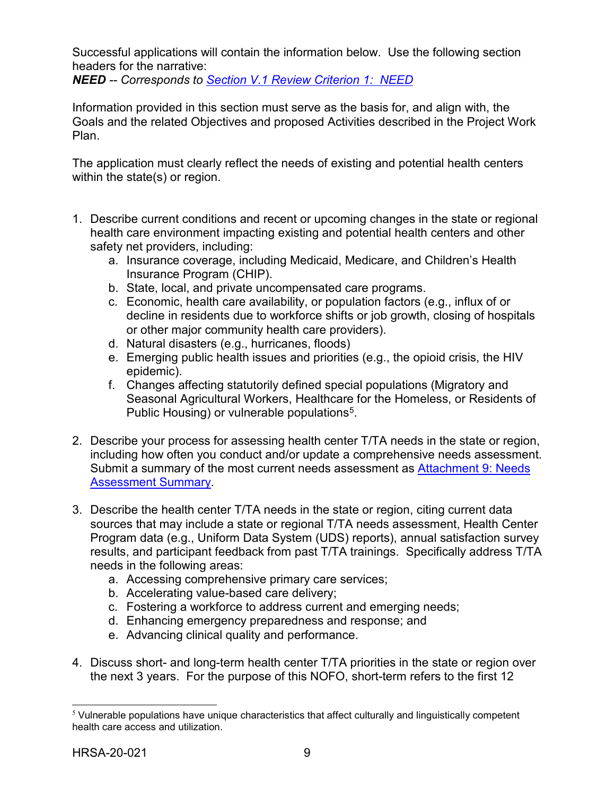Successful applications will contain the information below. Use the following section headers for the narrative:

<span id="page-12-1"></span>*NEED -- Corresponds to Section V.1 [Review Criterion](#page-23-2) 1: NEED*

Information provided in this section must serve as the basis for, and align with, the Goals and the related Objectives and proposed Activities described in the Project Work Plan.

The application must clearly reflect the needs of existing and potential health centers within the state(s) or region.

- 1. Describe current conditions and recent or upcoming changes in the state or regional health care environment impacting existing and potential health centers and other safety net providers, including:
	- a. Insurance coverage, including Medicaid, Medicare, and Children's Health Insurance Program (CHIP).
	- b. State, local, and private uncompensated care programs.
	- c. Economic, health care availability, or population factors (e.g., influx of or decline in residents due to workforce shifts or job growth, closing of hospitals or other major community health care providers).
	- d. Natural disasters (e.g., hurricanes, floods)
	- e. Emerging public health issues and priorities (e.g., the opioid crisis, the HIV epidemic).
	- f. Changes affecting statutorily defined special populations (Migratory and Seasonal Agricultural Workers, Healthcare for the Homeless, or Residents of Public Housing) or vulnerable populations<sup>[5](#page-12-0)</sup>.
- 2. Describe your process for assessing health center T/TA needs in the state or region, including how often you conduct and/or update a comprehensive needs assessment. Submit a summary of the most current needs assessment as Attachment 9: Needs [Assessment Summary.](#page-18-1)
- 3. Describe the health center T/TA needs in the state or region, citing current data sources that may include a state or regional T/TA needs assessment, Health Center Program data (e.g., Uniform Data System (UDS) reports), annual satisfaction survey results, and participant feedback from past T/TA trainings. Specifically address T/TA needs in the following areas:
	- a. Accessing comprehensive primary care services;
	- b. Accelerating value-based care delivery;
	- c. Fostering a workforce to address current and emerging needs;
	- d. Enhancing emergency preparedness and response; and
	- e. Advancing clinical quality and performance.
- 4. Discuss short- and long-term health center T/TA priorities in the state or region over the next 3 years. For the purpose of this NOFO, short-term refers to the first 12

<span id="page-12-0"></span> $5$  Vulnerable populations have unique characteristics that affect culturally and linguistically competent health care access and utilization.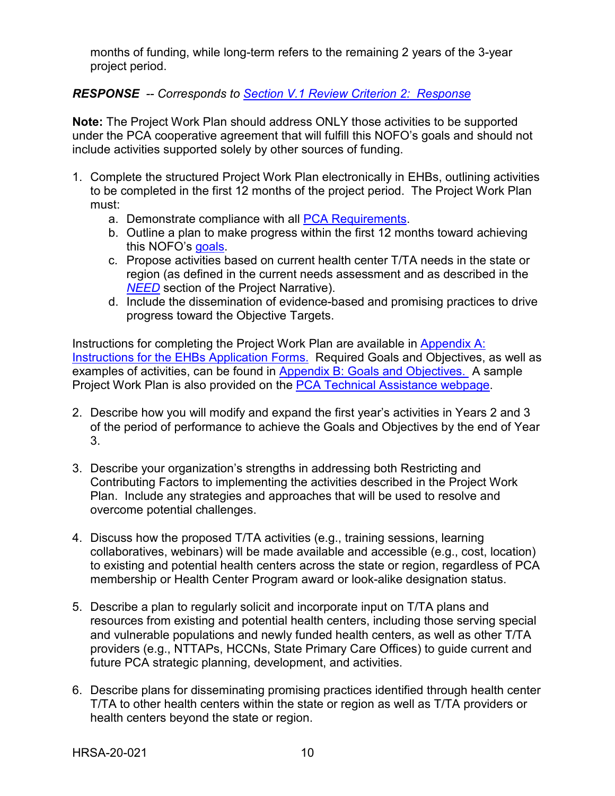months of funding, while long-term refers to the remaining 2 years of the 3-year project period.

### <span id="page-13-0"></span>*RESPONSE -- Corresponds to [Section V.1 Review Criterion](#page-24-0) 2: Response*

**Note:** The Project Work Plan should address ONLY those activities to be supported under the PCA cooperative agreement that will fulfill this NOFO's goals and should not include activities supported solely by other sources of funding.

- 1. Complete the structured Project Work Plan electronically in EHBs, outlining activities to be completed in the first 12 months of the project period. The Project Work Plan must:
	- a. Demonstrate compliance with all [PCA Requirements.](#page-6-1)
	- b. Outline a plan to make progress within the first 12 months toward achieving this NOFO's goals.
	- c. Propose activities based on current health center T/TA needs in the state or region (as defined in the current needs assessment and as described in the *[NEED](#page-12-1)* section of the Project Narrative).
	- d. Include the dissemination of evidence-based and promising practices to drive progress toward the Objective Targets.

Instructions for completing the Project Work Plan are available in Appendix A: [Instructions for the EHBs Application Forms.](#page-32-0) Required Goals and Objectives, as well as examples of activities, can be found in [Appendix B: Goals and Objectives.](#page-35-0) A sample Project Work Plan is also provided on the **PCA Technical Assistance webpage**.

- 2. Describe how you will modify and expand the first year's activities in Years 2 and 3 of the period of performance to achieve the Goals and Objectives by the end of Year 3.
- 3. Describe your organization's strengths in addressing both Restricting and Contributing Factors to implementing the activities described in the Project Work Plan. Include any strategies and approaches that will be used to resolve and overcome potential challenges.
- 4. Discuss how the proposed T/TA activities (e.g., training sessions, learning collaboratives, webinars) will be made available and accessible (e.g., cost, location) to existing and potential health centers across the state or region, regardless of PCA membership or Health Center Program award or look-alike designation status.
- 5. Describe a plan to regularly solicit and incorporate input on T/TA plans and resources from existing and potential health centers, including those serving special and vulnerable populations and newly funded health centers, as well as other T/TA providers (e.g., NTTAPs, HCCNs, State Primary Care Offices) to guide current and future PCA strategic planning, development, and activities.
- 6. Describe plans for disseminating promising practices identified through health center T/TA to other health centers within the state or region as well as T/TA providers or health centers beyond the state or region.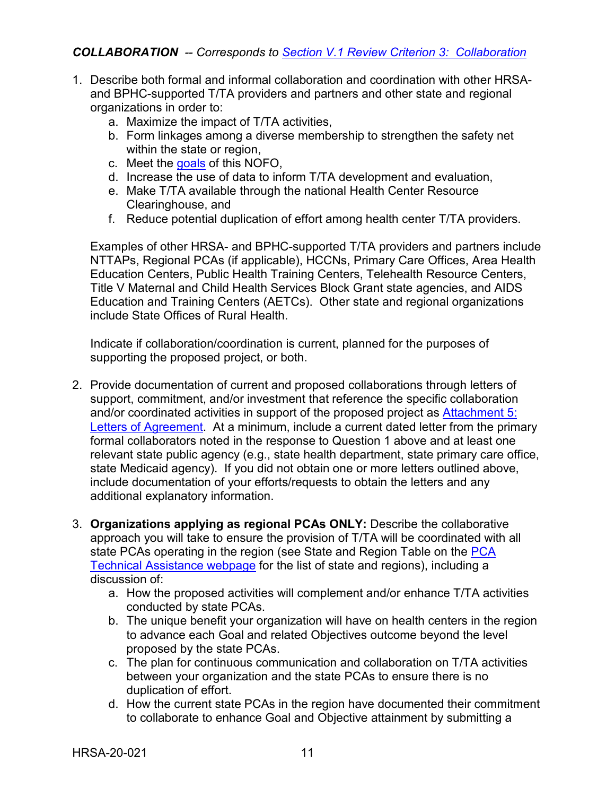### <span id="page-14-0"></span>*COLLABORATION -- Corresponds to [Section V.1 Review Criterion](#page-25-0) 3: Collaboration*

- 1. Describe both formal and informal collaboration and coordination with other HRSAand BPHC-supported T/TA providers and partners and other state and regional organizations in order to:
	- a. Maximize the impact of T/TA activities,
	- b. Form linkages among a diverse membership to strengthen the safety net within the state or region,
	- c. Meet the goals of this NOFO,
	- d. Increase the use of data to inform T/TA development and evaluation,
	- e. Make T/TA available through the national Health Center Resource Clearinghouse, and
	- f. Reduce potential duplication of effort among health center T/TA providers.

Examples of other HRSA- and BPHC-supported T/TA providers and partners include NTTAPs, Regional PCAs (if applicable), HCCNs, Primary Care Offices, Area Health Education Centers, Public Health Training Centers, Telehealth Resource Centers, Title V Maternal and Child Health Services Block Grant state agencies, and AIDS Education and Training Centers (AETCs). Other state and regional organizations include State Offices of Rural Health.

Indicate if collaboration/coordination is current, planned for the purposes of supporting the proposed project, or both.

- 2. Provide documentation of current and proposed collaborations through letters of support, commitment, and/or investment that reference the specific collaboration and/or coordinated activities in support of the proposed project as [Attachment 5:](#page-18-1)  [Letters of Agreement.](#page-18-1) At a minimum, include a current dated letter from the primary formal collaborators noted in the response to Question 1 above and at least one relevant state public agency (e.g., state health department, state primary care office, state Medicaid agency). If you did not obtain one or more letters outlined above, include documentation of your efforts/requests to obtain the letters and any additional explanatory information.
- 3. **Organizations applying as regional PCAs ONLY:** Describe the collaborative approach you will take to ensure the provision of T/TA will be coordinated with all state PCAs operating in the region (see State and Region Table on the PCA [Technical Assistance webpage](https://bphc.hrsa.gov/program-opportunities/funding-opportunities/pca) for the list of state and regions), including a discussion of:
	- a. How the proposed activities will complement and/or enhance T/TA activities conducted by state PCAs.
	- b. The unique benefit your organization will have on health centers in the region to advance each Goal and related Objectives outcome beyond the level proposed by the state PCAs.
	- c. The plan for continuous communication and collaboration on T/TA activities between your organization and the state PCAs to ensure there is no duplication of effort.
	- d. How the current state PCAs in the region have documented their commitment to collaborate to enhance Goal and Objective attainment by submitting a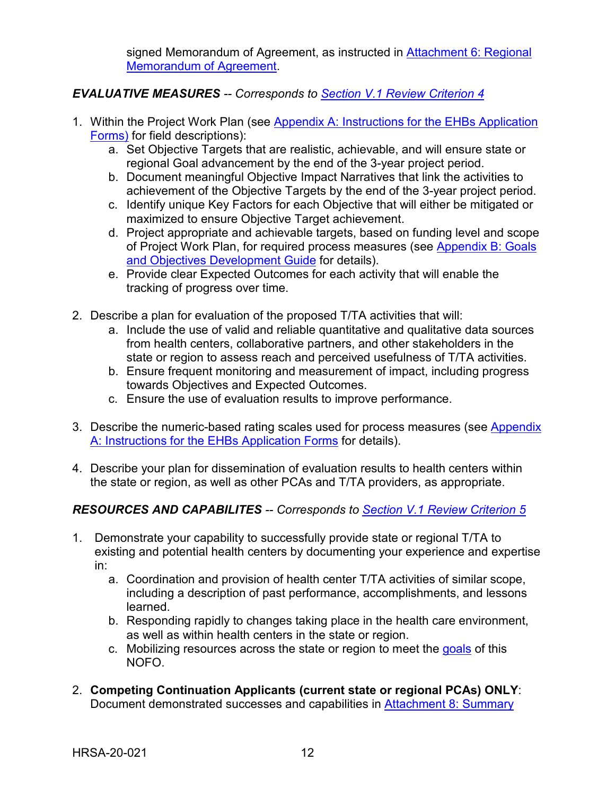signed Memorandum of Agreement, as instructed in [Attachment 6: Regional](#page-18-1) [Memorandum of Agreement.](#page-18-1)

### <span id="page-15-0"></span>*EVALUATIVE MEASURES -- Corresponds to [Section V.1 Review Criterion 4](#page-26-0)*

- 1. Within the Project Work Plan (see [Appendix A: Instructions for the EHBs Application](#page-32-0)  [Forms\)](#page-32-0) for field descriptions):
	- a. Set Objective Targets that are realistic, achievable, and will ensure state or regional Goal advancement by the end of the 3-year project period.
	- b. Document meaningful Objective Impact Narratives that link the activities to achievement of the Objective Targets by the end of the 3-year project period.
	- c. Identify unique Key Factors for each Objective that will either be mitigated or maximized to ensure Objective Target achievement.
	- d. Project appropriate and achievable targets, based on funding level and scope of Project Work Plan, for required process measures (see Appendix B: Goals [and Objectives Development Guide](#page-35-0) for details).
	- e. Provide clear Expected Outcomes for each activity that will enable the tracking of progress over time.
- 2. Describe a plan for evaluation of the proposed T/TA activities that will:
	- a. Include the use of valid and reliable quantitative and qualitative data sources from health centers, collaborative partners, and other stakeholders in the state or region to assess reach and perceived usefulness of T/TA activities.
	- b. Ensure frequent monitoring and measurement of impact, including progress towards Objectives and Expected Outcomes.
	- c. Ensure the use of evaluation results to improve performance.
- 3. Describe the numeric-based rating scales used for process measures (see [Appendix](#page-32-0)  [A: Instructions for the EHBs Application Forms](#page-32-0) for details).
- 4. Describe your plan for dissemination of evaluation results to health centers within the state or region, as well as other PCAs and T/TA providers, as appropriate.

### <span id="page-15-1"></span>*RESOURCES AND CAPABILITES -- Corresponds to [Section V.1 Review Criterion 5](#page-26-1)*

- 1. Demonstrate your capability to successfully provide state or regional T/TA to existing and potential health centers by documenting your experience and expertise in:
	- a. Coordination and provision of health center T/TA activities of similar scope, including a description of past performance, accomplishments, and lessons learned.
	- b. Responding rapidly to changes taking place in the health care environment, as well as within health centers in the state or region.
	- c. Mobilizing resources across the state or region to meet the goals of this NOFO.
- 2. **Competing Continuation Applicants (current state or regional PCAs) ONLY**: Document demonstrated successes and capabilities in [Attachment 8: Summary](#page-18-1)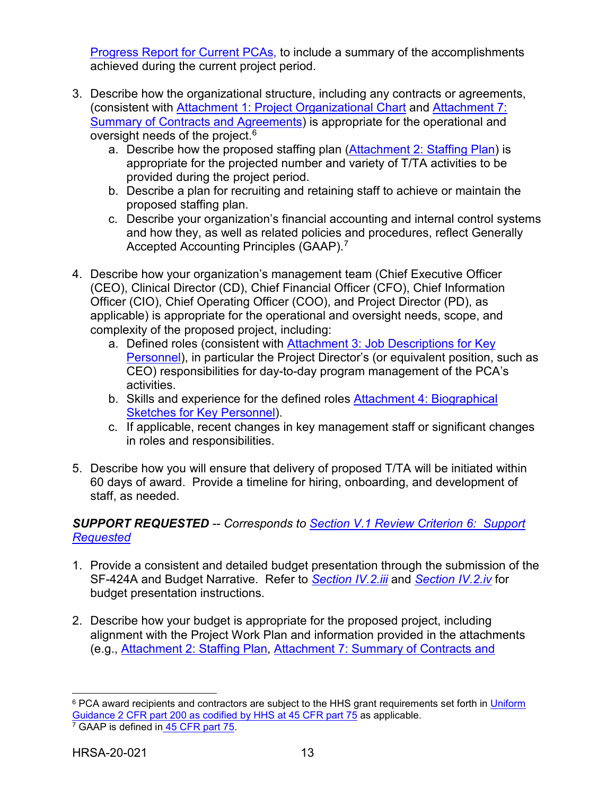[Progress Report for Current PCAs,](#page-18-1) to include a summary of the accomplishments achieved during the current project period.

- 3. Describe how the organizational structure, including any contracts or agreements, (consistent with [Attachment 1: Project Organizational Chart](#page-18-1) and [Attachment 7:](#page-18-1)  [Summary of Contracts and Agreements\)](#page-18-1) is appropriate for the operational and oversight needs of the project.<sup>6</sup>
	- a. Describe how the proposed staffing plan [\(Attachment 2: Staffing Plan\)](#page-18-1) is appropriate for the projected number and variety of T/TA activities to be provided during the project period.
	- b. Describe a plan for recruiting and retaining staff to achieve or maintain the proposed staffing plan.
	- c. Describe your organization's financial accounting and internal control systems and how they, as well as related policies and procedures, reflect Generally Accepted Accounting Principles (GAAP). [7](#page-16-1)
- 4. Describe how your organization's management team (Chief Executive Officer (CEO), Clinical Director (CD), Chief Financial Officer (CFO), Chief Information Officer (CIO), Chief Operating Officer (COO), and Project Director (PD), as applicable) is appropriate for the operational and oversight needs, scope, and complexity of the proposed project, including:
	- a. Defined roles (consistent with [Attachment 3: Job Descriptions for Key](#page-18-1)  [Personnel\)](#page-18-1), in particular the Project Director's (or equivalent position, such as CEO) responsibilities for day-to-day program management of the PCA's activities.
	- b. Skills and experience for the defined roles [Attachment 4: Biographical](#page-18-1)  [Sketches for Key Personnel\)](#page-18-1).
	- c. If applicable, recent changes in key management staff or significant changes in roles and responsibilities.
- 5. Describe how you will ensure that delivery of proposed T/TA will be initiated within 60 days of award. Provide a timeline for hiring, onboarding, and development of staff, as needed.

### <span id="page-16-2"></span>*SUPPORT REQUESTED -- Corresponds to [Section V.1 Review Criterion](#page-27-0) 6: Support [Requested](#page-27-0)*

- 1. Provide a consistent and detailed budget presentation through the submission of the SF-424A and Budget Narrative. Refer to *[Section IV.2.iii](#page-17-0)* and *[Section IV.2.iv](#page-17-1)* for budget presentation instructions.
- 2. Describe how your budget is appropriate for the proposed project, including alignment with the Project Work Plan and information provided in the attachments (e.g., [Attachment 2: Staffing Plan, Attachment 7: Summary of Contracts and](#page-18-1)

<span id="page-16-1"></span><span id="page-16-0"></span> $\overline{a}$ <sup>6</sup> PCA award recipients and contractors are subject to the HHS grant requirements set forth in Uniform [Guidance 2 CFR part 200 as codified by HHS at 45 CFR part 75](http://www.ecfr.gov/cgi-bin/retrieveECFR?gp=1&SID=4d52364ec83fab994c665943dadf9cf7&ty=HTML&h=L&r=PART&n=pt45.1.75) as applicable. <sup>7</sup> GAAP is defined in [45 CFR part 75.](http://www.ecfr.gov/cgi-bin/retrieveECFR?gp=1&SID=4d52364ec83fab994c665943dadf9cf7&ty=HTML&h=L&r=PART&n=pt45.1.75)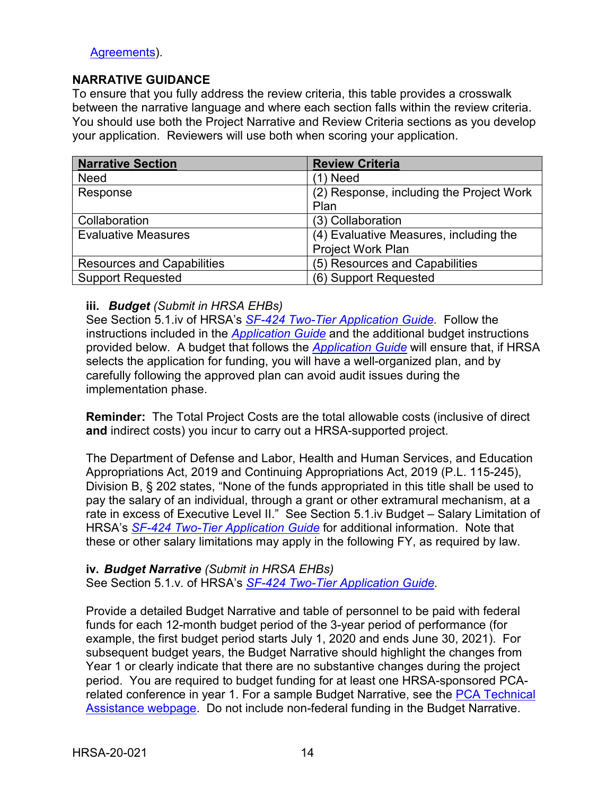#### [Agreements\)](#page-18-1).

#### **NARRATIVE GUIDANCE**

To ensure that you fully address the review criteria, this table provides a crosswalk between the narrative language and where each section falls within the review criteria. You should use both the Project Narrative and Review Criteria sections as you develop your application. Reviewers will use both when scoring your application.

| <b>Narrative Section</b>          | <b>Review Criteria</b>                   |
|-----------------------------------|------------------------------------------|
| <b>Need</b>                       | (1) Need                                 |
| Response                          | (2) Response, including the Project Work |
|                                   | Plan                                     |
| Collaboration                     | (3) Collaboration                        |
| <b>Evaluative Measures</b>        | (4) Evaluative Measures, including the   |
|                                   | Project Work Plan                        |
| <b>Resources and Capabilities</b> | (5) Resources and Capabilities           |
| <b>Support Requested</b>          | (6) Support Requested                    |

#### <span id="page-17-0"></span>**iii.** *Budget (Submit in HRSA EHBs)*

See Section 5.1.iv of HRSA's *SF-424 [Two-Tier Application Guide.](http://www.hrsa.gov/grants/apply/applicationguide/sf424programspecificappguide.pdf)* Follow the instructions included in the *[Application Guide](http://www.hrsa.gov/grants/apply/applicationguide/sf424programspecificappguide.pdf)* and the additional budget instructions provided below. A budget that follows the *[Application Guide](http://www.hrsa.gov/grants/apply/applicationguide/sf424programspecificappguide.pdf)* will ensure that, if HRSA selects the application for funding, you will have a well-organized plan, and by carefully following the approved plan can avoid audit issues during the implementation phase.

**Reminder:** The Total Project Costs are the total allowable costs (inclusive of direct **and** indirect costs) you incur to carry out a HRSA-supported project.

The Department of Defense and Labor, Health and Human Services, and Education Appropriations Act, 2019 and Continuing Appropriations Act, 2019 (P.L. 115-245), Division B, § 202 states, "None of the funds appropriated in this title shall be used to pay the salary of an individual, through a grant or other extramural mechanism, at a rate in excess of Executive Level II." See Section 5.1.iv Budget – Salary Limitation of HRSA's *SF-424 [Two-Tier Application Guide](http://www.hrsa.gov/grants/apply/applicationguide/sf424programspecificappguide.pdf)* for additional information. Note that these or other salary limitations may apply in the following FY, as required by law.

#### <span id="page-17-1"></span>**iv.** *Budget Narrative (Submit in HRSA EHBs)* See Section 5.1.v. of HRSA's *SF-424 [Two-Tier Application Guide.](http://www.hrsa.gov/grants/apply/applicationguide/sf424programspecificappguide.pdf)*

Provide a detailed Budget Narrative and table of personnel to be paid with federal funds for each 12-month budget period of the 3-year period of performance (for example, the first budget period starts July 1, 2020 and ends June 30, 2021). For subsequent budget years, the Budget Narrative should highlight the changes from Year 1 or clearly indicate that there are no substantive changes during the project period. You are required to budget funding for at least one HRSA-sponsored PCArelated conference in year 1. For a sample Budget Narrative, see the PCA Technical [Assistance webpage.](https://bphc.hrsa.gov/program-opportunities/funding-opportunities/pca) Do not include non-federal funding in the Budget Narrative.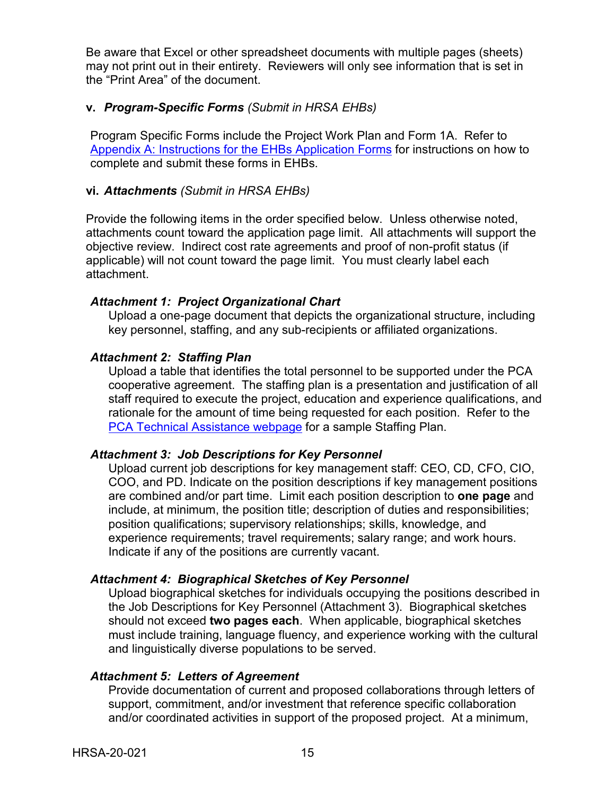Be aware that Excel or other spreadsheet documents with multiple pages (sheets) may not print out in their entirety. Reviewers will only see information that is set in the "Print Area" of the document.

#### <span id="page-18-0"></span>**v.** *Program-Specific Forms (Submit in HRSA EHBs)*

Program Specific Forms include the Project Work Plan and Form 1A. Refer to [Appendix A: Instructions for the EHBs Application Forms](#page-32-0) for instructions on how to complete and submit these forms in EHBs.

#### <span id="page-18-1"></span>**vi.** *Attachments (Submit in HRSA EHBs)*

Provide the following items in the order specified below. Unless otherwise noted, attachments count toward the application page limit. All attachments will support the objective review. Indirect cost rate agreements and proof of non-profit status (if applicable) will not count toward the page limit. You must clearly label each attachment.

#### *Attachment 1: Project Organizational Chart*

Upload a one-page document that depicts the organizational structure, including key personnel, staffing, and any sub-recipients or affiliated organizations.

#### *Attachment 2: Staffing Plan*

Upload a table that identifies the total personnel to be supported under the PCA cooperative agreement. The staffing plan is a presentation and justification of all staff required to execute the project, education and experience qualifications, and rationale for the amount of time being requested for each position. Refer to the [PCA Technical Assistance webpage](https://bphc.hrsa.gov/programopportunities/fundingopportunities/pca/index.html) for a sample Staffing Plan.

#### *Attachment 3: Job Descriptions for Key Personnel*

Upload current job descriptions for key management staff: CEO, CD, CFO, CIO, COO, and PD. Indicate on the position descriptions if key management positions are combined and/or part time. Limit each position description to **one page** and include, at minimum, the position title; description of duties and responsibilities; position qualifications; supervisory relationships; skills, knowledge, and experience requirements; travel requirements; salary range; and work hours. Indicate if any of the positions are currently vacant.

#### *Attachment 4: Biographical Sketches of Key Personnel*

Upload biographical sketches for individuals occupying the positions described in the Job Descriptions for Key Personnel (Attachment 3). Biographical sketches should not exceed **two pages each**. When applicable, biographical sketches must include training, language fluency, and experience working with the cultural and linguistically diverse populations to be served.

#### *Attachment 5: Letters of Agreement*

Provide documentation of current and proposed collaborations through letters of support, commitment, and/or investment that reference specific collaboration and/or coordinated activities in support of the proposed project. At a minimum,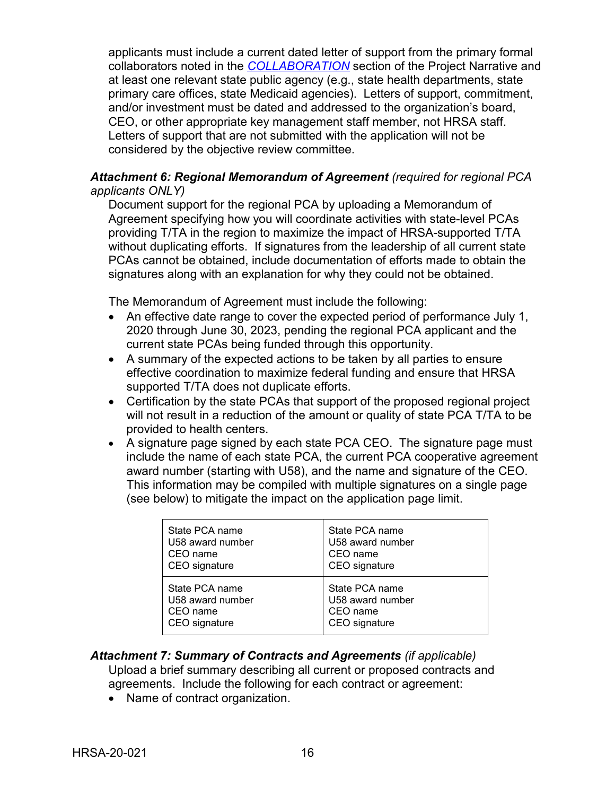applicants must include a current dated letter of support from the primary formal collaborators noted in the *[COLLABORATION](#page-14-0)* section of the Project Narrative and at least one relevant state public agency (e.g., state health departments, state primary care offices, state Medicaid agencies). Letters of support, commitment, and/or investment must be dated and addressed to the organization's board, CEO, or other appropriate key management staff member, not HRSA staff. Letters of support that are not submitted with the application will not be considered by the objective review committee.

#### *Attachment 6: Regional Memorandum of Agreement (required for regional PCA applicants ONLY)*

Document support for the regional PCA by uploading a Memorandum of Agreement specifying how you will coordinate activities with state-level PCAs providing T/TA in the region to maximize the impact of HRSA-supported T/TA without duplicating efforts. If signatures from the leadership of all current state PCAs cannot be obtained, include documentation of efforts made to obtain the signatures along with an explanation for why they could not be obtained.

The Memorandum of Agreement must include the following:

- An effective date range to cover the expected period of performance July 1, 2020 through June 30, 2023, pending the regional PCA applicant and the current state PCAs being funded through this opportunity.
- A summary of the expected actions to be taken by all parties to ensure effective coordination to maximize federal funding and ensure that HRSA supported T/TA does not duplicate efforts.
- Certification by the state PCAs that support of the proposed regional project will not result in a reduction of the amount or quality of state PCA T/TA to be provided to health centers.
- A signature page signed by each state PCA CEO. The signature page must include the name of each state PCA, the current PCA cooperative agreement award number (starting with U58), and the name and signature of the CEO. This information may be compiled with multiple signatures on a single page (see below) to mitigate the impact on the application page limit.

| State PCA name   | State PCA name   |
|------------------|------------------|
| U58 award number | U58 award number |
| CEO name         | CEO name         |
| CEO signature    | CEO signature    |
| State PCA name   | State PCA name   |
| U58 award number | U58 award number |
| CEO name         | CEO name         |
| CEO signature    | CEO signature    |

#### *Attachment 7: Summary of Contracts and Agreements (if applicable)*

Upload a brief summary describing all current or proposed contracts and agreements. Include the following for each contract or agreement:

• Name of contract organization.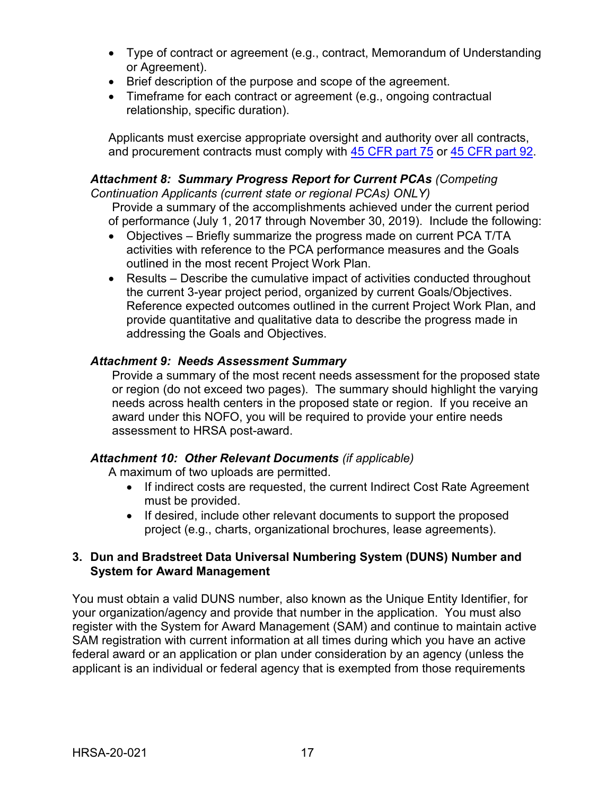- Type of contract or agreement (e.g., contract, Memorandum of Understanding or Agreement).
- Brief description of the purpose and scope of the agreement.
- Timeframe for each contract or agreement (e.g., ongoing contractual relationship, specific duration).

Applicants must exercise appropriate oversight and authority over all contracts, and procurement contracts must comply with [45 CFR part 75](http://www.ecfr.gov/cgi-bin/text-idx?SID=2596fb6d4a3822a1567cc37062192707&mc=true&node=pt45.1.75&rgn=div5) or [45 CFR part 92.](http://www.ecfr.gov/cgi-bin/text-idx?SID=ed9689fa98ea777d0c76734896982310&mc=true&node=pt45.1.92&rgn=div5)

#### *Attachment 8: Summary Progress Report for Current PCAs (Competing Continuation Applicants (current state or regional PCAs) ONLY)*

Provide a summary of the accomplishments achieved under the current period of performance (July 1, 2017 through November 30, 2019). Include the following:

- Objectives Briefly summarize the progress made on current PCA T/TA activities with reference to the PCA performance measures and the Goals outlined in the most recent Project Work Plan.
- Results Describe the cumulative impact of activities conducted throughout the current 3-year project period, organized by current Goals/Objectives. Reference expected outcomes outlined in the current Project Work Plan, and provide quantitative and qualitative data to describe the progress made in addressing the Goals and Objectives.

### *Attachment 9: Needs Assessment Summary*

Provide a summary of the most recent needs assessment for the proposed state or region (do not exceed two pages). The summary should highlight the varying needs across health centers in the proposed state or region. If you receive an award under this NOFO, you will be required to provide your entire needs assessment to HRSA post-award.

### *Attachment 10: Other Relevant Documents (if applicable)*

A maximum of two uploads are permitted.

- If indirect costs are requested, the current Indirect Cost Rate Agreement must be provided.
- If desired, include other relevant documents to support the proposed project (e.g., charts, organizational brochures, lease agreements).

#### <span id="page-20-0"></span>**3. Dun and Bradstreet Data Universal Numbering System (DUNS) Number and System for Award Management**

You must obtain a valid DUNS number, also known as the Unique Entity Identifier, for your organization/agency and provide that number in the application. You must also register with the System for Award Management (SAM) and continue to maintain active SAM registration with current information at all times during which you have an active federal award or an application or plan under consideration by an agency (unless the applicant is an individual or federal agency that is exempted from those requirements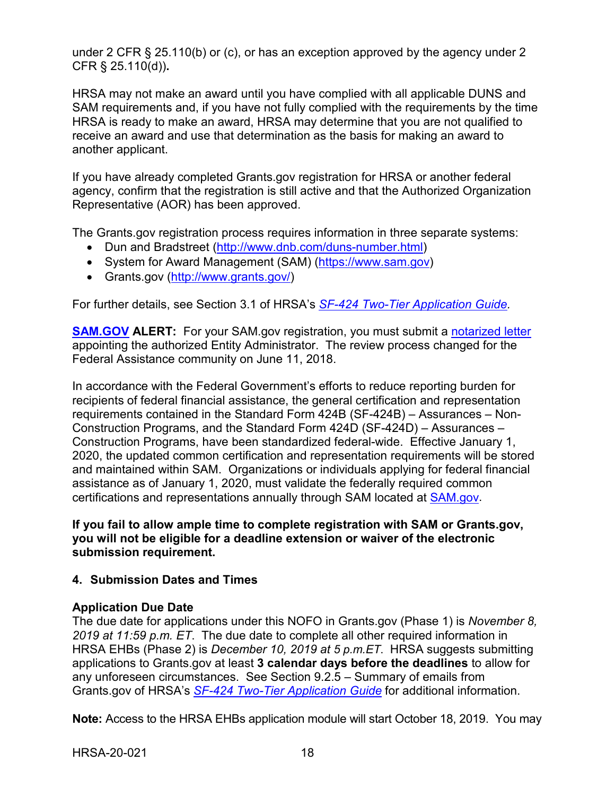under 2 CFR § 25.110(b) or (c), or has an exception approved by the agency under 2 CFR § 25.110(d))**.**

HRSA may not make an award until you have complied with all applicable DUNS and SAM requirements and, if you have not fully complied with the requirements by the time HRSA is ready to make an award, HRSA may determine that you are not qualified to receive an award and use that determination as the basis for making an award to another applicant.

If you have already completed Grants.gov registration for HRSA or another federal agency, confirm that the registration is still active and that the Authorized Organization Representative (AOR) has been approved.

The Grants.gov registration process requires information in three separate systems:

- Dun and Bradstreet [\(http://www.dnb.com/duns-number.html\)](http://www.dnb.com/duns-number.html)
- System for Award Management (SAM) [\(https://www.sam.gov\)](https://www.sam.gov/)
- Grants.gov [\(http://www.grants.gov/\)](http://www.grants.gov/)

For further details, see Section 3.1 of HRSA's *[SF-424 Two-Tier Application Guide.](http://www.hrsa.gov/grants/apply/applicationguide/sf424programspecificappguide.pdf)*

**[SAM.GOV](http://sam.gov/) ALERT:** For your SAM.gov registration, you must submit a [notarized letter](https://www.fsd.gov/fsd-gov/answer.do?sysparm_kbid=d2e67885db0d5f00b3257d321f96194b&sysparm_search=kb0013183) appointing the authorized Entity Administrator. The review process changed for the Federal Assistance community on June 11, 2018.

In accordance with the Federal Government's efforts to reduce reporting burden for recipients of federal financial assistance, the general certification and representation requirements contained in the Standard Form 424B (SF-424B) – Assurances – Non-Construction Programs, and the Standard Form 424D (SF-424D) – Assurances – Construction Programs, have been standardized federal-wide. Effective January 1, 2020, the updated common certification and representation requirements will be stored and maintained within SAM. Organizations or individuals applying for federal financial assistance as of January 1, 2020, must validate the federally required common certifications and representations annually through SAM located at [SAM.gov.](https://www.sam.gov/)

**If you fail to allow ample time to complete registration with SAM or Grants.gov, you will not be eligible for a deadline extension or waiver of the electronic submission requirement.**

### <span id="page-21-0"></span>**4. Submission Dates and Times**

### **Application Due Date**

The due date for applications under this NOFO in Grants.gov (Phase 1) is *November 8, 2019 at 11:59 p.m. ET*. The due date to complete all other required information in HRSA EHBs (Phase 2) is *December 10, 2019 at 5 p.m.ET*. HRSA suggests submitting applications to Grants.gov at least **3 calendar days before the deadlines** to allow for any unforeseen circumstances. See Section 9.2.5 – Summary of emails from Grants.gov of HRSA's *[SF-424 Two-Tier Application Guide](https://www.hrsa.gov/sites/default/files/hrsa/grants/apply/applicationguide/sf-424-program-specific-app-guide.pdf)* for additional information.

**Note:** Access to the HRSA EHBs application module will start October 18, 2019. You may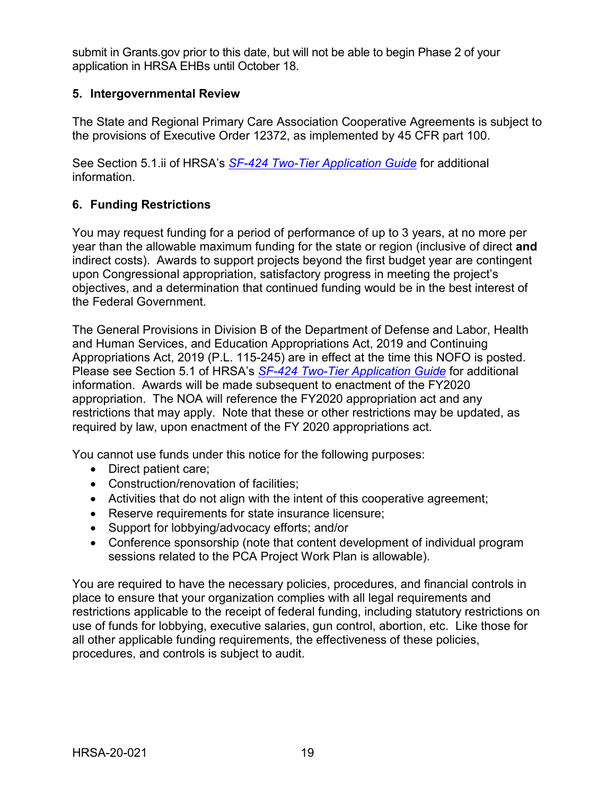submit in Grants.gov prior to this date, but will not be able to begin Phase 2 of your application in HRSA EHBs until October 18.

#### <span id="page-22-0"></span>**5. Intergovernmental Review**

The State and Regional Primary Care Association Cooperative Agreements is subject to the provisions of Executive Order 12372, as implemented by 45 CFR part 100.

See Section 5.1.ii of HRSA's *SF-424 [Two-Tier Application Guide](http://www.hrsa.gov/grants/apply/applicationguide/sf424programspecificappguide.pdf)* for additional information.

### <span id="page-22-1"></span>**6. Funding Restrictions**

You may request funding for a period of performance of up to 3 years, at no more per year than the allowable maximum funding for the state or region (inclusive of direct **and** indirect costs). Awards to support projects beyond the first budget year are contingent upon Congressional appropriation, satisfactory progress in meeting the project's objectives, and a determination that continued funding would be in the best interest of the Federal Government.

The General Provisions in Division B of the Department of Defense and Labor, Health and Human Services, and Education Appropriations Act, 2019 and Continuing Appropriations Act, 2019 (P.L. 115-245) are in effect at the time this NOFO is posted. Please see Section 5.1 of HRSA's *SF-424 Two-Tier [Application Guide](http://www.hrsa.gov/grants/apply/applicationguide/sf424programspecificappguide.pdf)* for additional information. Awards will be made subsequent to enactment of the FY2020 appropriation. The NOA will reference the FY2020 appropriation act and any restrictions that may apply. Note that these or other restrictions may be updated, as required by law, upon enactment of the FY 2020 appropriations act.

You cannot use funds under this notice for the following purposes:

- Direct patient care;
- Construction/renovation of facilities;
- Activities that do not align with the intent of this cooperative agreement;
- Reserve requirements for state insurance licensure;
- Support for lobbying/advocacy efforts; and/or
- Conference sponsorship (note that content development of individual program sessions related to the PCA Project Work Plan is allowable).

You are required to have the necessary policies, procedures, and financial controls in place to ensure that your organization complies with all legal requirements and restrictions applicable to the receipt of federal funding, including statutory restrictions on use of funds for lobbying, executive salaries, gun control, abortion, etc. Like those for all other applicable funding requirements, the effectiveness of these policies, procedures, and controls is subject to audit.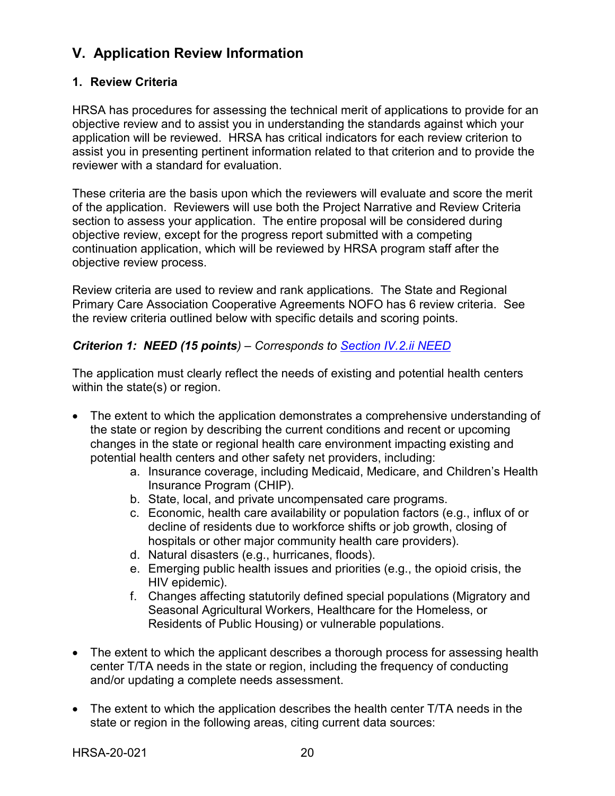# <span id="page-23-0"></span>**V. Application Review Information**

### <span id="page-23-1"></span>**1. Review Criteria**

HRSA has procedures for assessing the technical merit of applications to provide for an objective review and to assist you in understanding the standards against which your application will be reviewed. HRSA has critical indicators for each review criterion to assist you in presenting pertinent information related to that criterion and to provide the reviewer with a standard for evaluation.

These criteria are the basis upon which the reviewers will evaluate and score the merit of the application. Reviewers will use both the Project Narrative and Review Criteria section to assess your application. The entire proposal will be considered during objective review, except for the progress report submitted with a competing continuation application, which will be reviewed by HRSA program staff after the objective review process.

Review criteria are used to review and rank applications. The State and Regional Primary Care Association Cooperative Agreements NOFO has 6 review criteria. See the review criteria outlined below with specific details and scoring points.

#### <span id="page-23-2"></span>*Criterion 1: NEED (15 points) – Corresponds to [Section IV.2.ii NEED](#page-12-1)*

The application must clearly reflect the needs of existing and potential health centers within the state(s) or region.

- The extent to which the application demonstrates a comprehensive understanding of the state or region by describing the current conditions and recent or upcoming changes in the state or regional health care environment impacting existing and potential health centers and other safety net providers, including:
	- a. Insurance coverage, including Medicaid, Medicare, and Children's Health Insurance Program (CHIP).
	- b. State, local, and private uncompensated care programs.
	- c. Economic, health care availability or population factors (e.g., influx of or decline of residents due to workforce shifts or job growth, closing of hospitals or other major community health care providers).
	- d. Natural disasters (e.g., hurricanes, floods).
	- e. Emerging public health issues and priorities (e.g., the opioid crisis, the HIV epidemic).
	- f. Changes affecting statutorily defined special populations (Migratory and Seasonal Agricultural Workers, Healthcare for the Homeless, or Residents of Public Housing) or vulnerable populations.
- The extent to which the applicant describes a thorough process for assessing health center T/TA needs in the state or region, including the frequency of conducting and/or updating a complete needs assessment.
- The extent to which the application describes the health center T/TA needs in the state or region in the following areas, citing current data sources: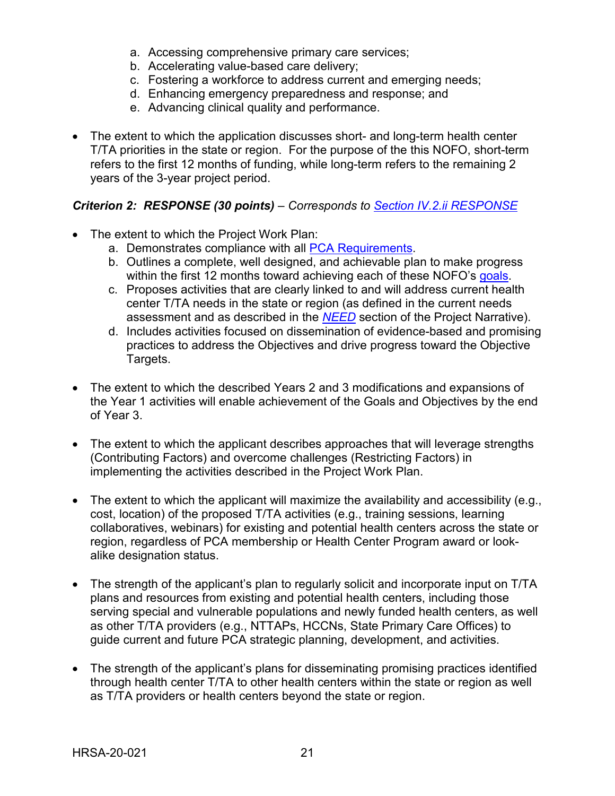- a. Accessing comprehensive primary care services;
- b. Accelerating value-based care delivery;
- c. Fostering a workforce to address current and emerging needs;
- d. Enhancing emergency preparedness and response; and
- e. Advancing clinical quality and performance.
- The extent to which the application discusses short- and long-term health center T/TA priorities in the state or region. For the purpose of the this NOFO, short-term refers to the first 12 months of funding, while long-term refers to the remaining 2 years of the 3-year project period.

### <span id="page-24-0"></span>*Criterion 2: RESPONSE (30 points) – Corresponds to [Section IV.2.ii RESPONSE](#page-13-0)*

- The extent to which the Project Work Plan:
	- a. Demonstrates compliance with all [PCA Requirements.](#page-6-1)
	- b. Outlines a complete, well designed, and achievable plan to make progress within the first 12 months toward achieving each of these NOFO's goals.
	- c. Proposes activities that are clearly linked to and will address current health center T/TA needs in the state or region (as defined in the current needs assessment and as described in the *[NEED](#page-12-1)* section of the Project Narrative).
	- d. Includes activities focused on dissemination of evidence-based and promising practices to address the Objectives and drive progress toward the Objective Targets.
- The extent to which the described Years 2 and 3 modifications and expansions of the Year 1 activities will enable achievement of the Goals and Objectives by the end of Year 3.
- The extent to which the applicant describes approaches that will leverage strengths (Contributing Factors) and overcome challenges (Restricting Factors) in implementing the activities described in the Project Work Plan.
- The extent to which the applicant will maximize the availability and accessibility (e.g., cost, location) of the proposed T/TA activities (e.g., training sessions, learning collaboratives, webinars) for existing and potential health centers across the state or region, regardless of PCA membership or Health Center Program award or lookalike designation status.
- The strength of the applicant's plan to regularly solicit and incorporate input on T/TA plans and resources from existing and potential health centers, including those serving special and vulnerable populations and newly funded health centers, as well as other T/TA providers (e.g., NTTAPs, HCCNs, State Primary Care Offices) to guide current and future PCA strategic planning, development, and activities.
- The strength of the applicant's plans for disseminating promising practices identified through health center T/TA to other health centers within the state or region as well as T/TA providers or health centers beyond the state or region.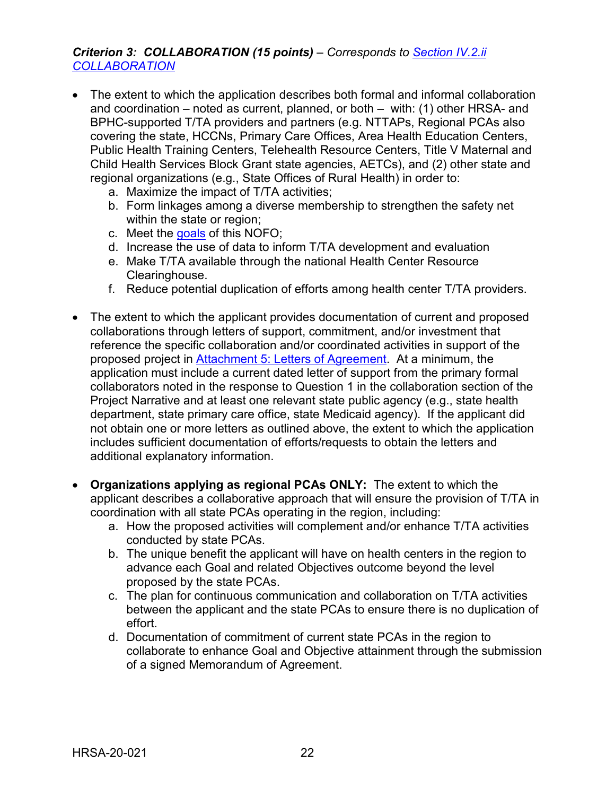#### <span id="page-25-0"></span>*Criterion 3: COLLABORATION (15 points) – Corresponds to [Section IV.2.ii](#page-14-0)  [COLLABORATION](#page-14-0)*

- The extent to which the application describes both formal and informal collaboration and coordination – noted as current, planned, or both – with: (1) other HRSA- and BPHC-supported T/TA providers and partners (e.g. NTTAPs, Regional PCAs also covering the state, HCCNs, Primary Care Offices, Area Health Education Centers, Public Health Training Centers, Telehealth Resource Centers, Title V Maternal and Child Health Services Block Grant state agencies, AETCs), and (2) other state and regional organizations (e.g., State Offices of Rural Health) in order to:
	- a. Maximize the impact of T/TA activities;
	- b. Form linkages among a diverse membership to strengthen the safety net within the state or region;
	- c. Meet the goals of this NOFO;
	- d. Increase the use of data to inform T/TA development and evaluation
	- e. Make T/TA available through the national Health Center Resource Clearinghouse.
	- f. Reduce potential duplication of efforts among health center T/TA providers.
- The extent to which the applicant provides documentation of current and proposed collaborations through letters of support, commitment, and/or investment that reference the specific collaboration and/or coordinated activities in support of the proposed project in [Attachment 5: Letters of Agreement.](#page-18-1) At a minimum, the application must include a current dated letter of support from the primary formal collaborators noted in the response to Question 1 in the collaboration section of the Project Narrative and at least one relevant state public agency (e.g., state health department, state primary care office, state Medicaid agency). If the applicant did not obtain one or more letters as outlined above, the extent to which the application includes sufficient documentation of efforts/requests to obtain the letters and additional explanatory information.
- **Organizations applying as regional PCAs ONLY:** The extent to which the applicant describes a collaborative approach that will ensure the provision of T/TA in coordination with all state PCAs operating in the region, including:
	- a. How the proposed activities will complement and/or enhance T/TA activities conducted by state PCAs.
	- b. The unique benefit the applicant will have on health centers in the region to advance each Goal and related Objectives outcome beyond the level proposed by the state PCAs.
	- c. The plan for continuous communication and collaboration on T/TA activities between the applicant and the state PCAs to ensure there is no duplication of effort.
	- d. Documentation of commitment of current state PCAs in the region to collaborate to enhance Goal and Objective attainment through the submission of a signed Memorandum of Agreement.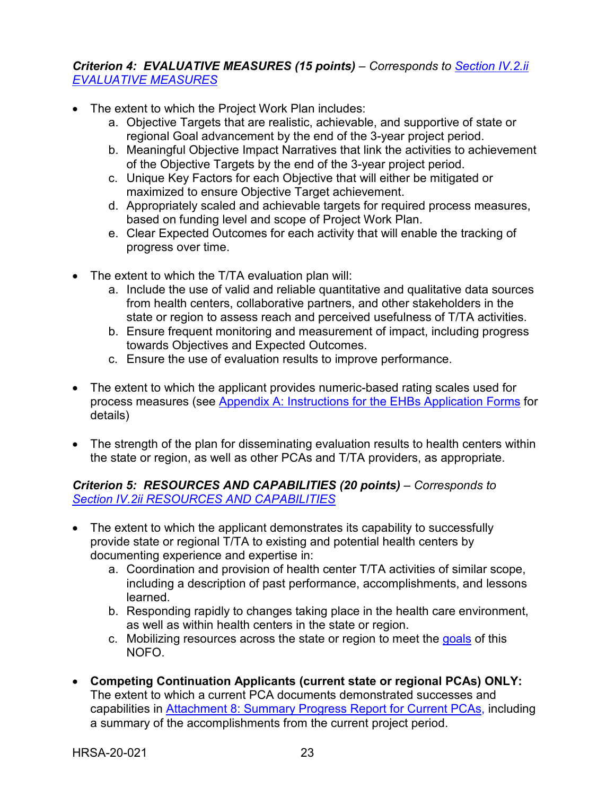### <span id="page-26-0"></span>*Criterion 4: EVALUATIVE MEASURES (15 points) – Corresponds to [Section IV.2.ii](#page-15-0)  [EVALUATIVE MEASURES](#page-15-0)*

- The extent to which the Project Work Plan includes:
	- a. Objective Targets that are realistic, achievable, and supportive of state or regional Goal advancement by the end of the 3-year project period.
	- b. Meaningful Objective Impact Narratives that link the activities to achievement of the Objective Targets by the end of the 3-year project period.
	- c. Unique Key Factors for each Objective that will either be mitigated or maximized to ensure Objective Target achievement.
	- d. Appropriately scaled and achievable targets for required process measures, based on funding level and scope of Project Work Plan.
	- e. Clear Expected Outcomes for each activity that will enable the tracking of progress over time.
- The extent to which the T/TA evaluation plan will:
	- a. Include the use of valid and reliable quantitative and qualitative data sources from health centers, collaborative partners, and other stakeholders in the state or region to assess reach and perceived usefulness of T/TA activities.
	- b. Ensure frequent monitoring and measurement of impact, including progress towards Objectives and Expected Outcomes.
	- c. Ensure the use of evaluation results to improve performance.
- The extent to which the applicant provides numeric-based rating scales used for process measures (see [Appendix A: Instructions for the EHBs Application Forms](#page-32-0) for details)
- The strength of the plan for disseminating evaluation results to health centers within the state or region, as well as other PCAs and T/TA providers, as appropriate.

#### <span id="page-26-1"></span>*Criterion 5: RESOURCES AND CAPABILITIES (20 points) – Corresponds to [Section IV.2ii RESOURCES AND CAPABILITIES](#page-15-1)*

- The extent to which the applicant demonstrates its capability to successfully provide state or regional T/TA to existing and potential health centers by documenting experience and expertise in:
	- a. Coordination and provision of health center T/TA activities of similar scope, including a description of past performance, accomplishments, and lessons learned.
	- b. Responding rapidly to changes taking place in the health care environment, as well as within health centers in the state or region.
	- c. Mobilizing resources across the state or region to meet the goals of this NOFO.
- **Competing Continuation Applicants (current state or regional PCAs) ONLY:**  The extent to which a current PCA documents demonstrated successes and capabilities in [Attachment 8: Summary Progress Report for Current PCAs,](#page-18-1) including a summary of the accomplishments from the current project period.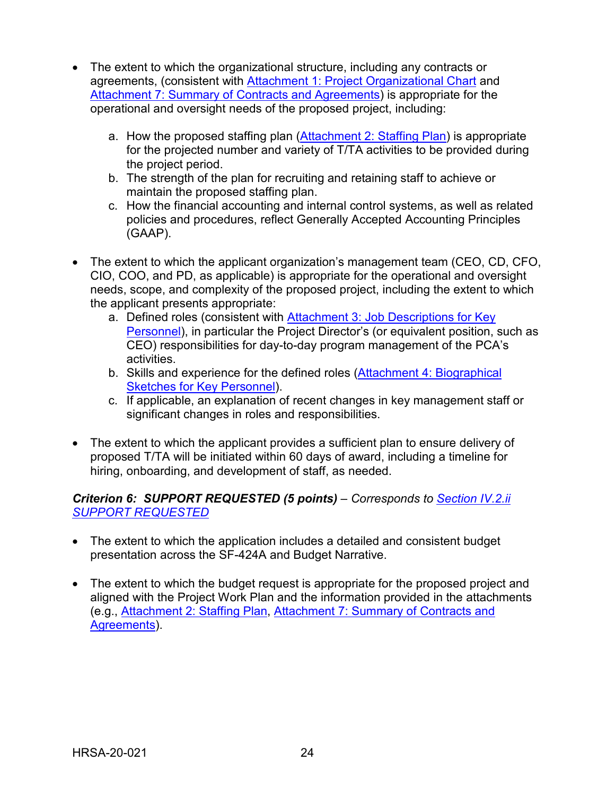- The extent to which the organizational structure, including any contracts or agreements, (consistent with [Attachment 1: Project Organizational Chart](#page-18-1) and [Attachment 7: Summary of Contracts and Agreements\)](#page-18-1) is appropriate for the operational and oversight needs of the proposed project, including:
	- a. How the proposed staffing plan [\(Attachment 2: Staffing Plan\)](#page-18-1) is appropriate for the projected number and variety of T/TA activities to be provided during the project period.
	- b. The strength of the plan for recruiting and retaining staff to achieve or maintain the proposed staffing plan.
	- c. How the financial accounting and internal control systems, as well as related policies and procedures, reflect Generally Accepted Accounting Principles (GAAP).
- The extent to which the applicant organization's management team (CEO, CD, CFO, CIO, COO, and PD, as applicable) is appropriate for the operational and oversight needs, scope, and complexity of the proposed project, including the extent to which the applicant presents appropriate:
	- a. Defined roles (consistent with [Attachment 3: Job Descriptions for Key](#page-18-1)  [Personnel\)](#page-18-1), in particular the Project Director's (or equivalent position, such as CEO) responsibilities for day-to-day program management of the PCA's activities.
	- b. Skills and experience for the defined roles [\(Attachment 4: Biographical](#page-18-1)  [Sketches for Key Personnel\)](#page-18-1).
	- c. If applicable, an explanation of recent changes in key management staff or significant changes in roles and responsibilities.
- The extent to which the applicant provides a sufficient plan to ensure delivery of proposed T/TA will be initiated within 60 days of award, including a timeline for hiring, onboarding, and development of staff, as needed.

#### <span id="page-27-0"></span>*Criterion 6: SUPPORT REQUESTED (5 points) – Corresponds to [Section IV.2.ii](#page-16-2)  [SUPPORT REQUESTED](#page-16-2)*

- The extent to which the application includes a detailed and consistent budget presentation across the SF-424A and Budget Narrative.
- The extent to which the budget request is appropriate for the proposed project and aligned with the Project Work Plan and the information provided in the attachments (e.g., [Attachment 2: Staffing Plan, Attachment 7: Summary of Contracts and](#page-18-1)  [Agreements\)](#page-18-1).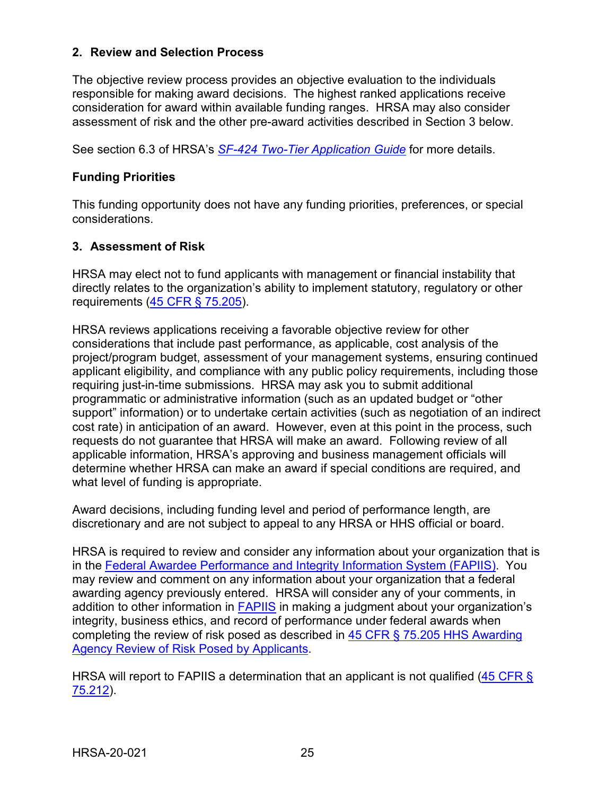#### <span id="page-28-0"></span>**2. Review and Selection Process**

The objective review process provides an objective evaluation to the individuals responsible for making award decisions. The highest ranked applications receive consideration for award within available funding ranges. HRSA may also consider assessment of risk and the other pre-award activities described in Section 3 below.

See section 6.3 of HRSA's *SF-424 [Two-Tier Application Guide](http://www.hrsa.gov/grants/apply/applicationguide/sf424programspecificappguide.pdf)* for more details.

#### **Funding Priorities**

This funding opportunity does not have any funding priorities, preferences, or special considerations.

#### <span id="page-28-1"></span>**3. Assessment of Risk**

HRSA may elect not to fund applicants with management or financial instability that directly relates to the organization's ability to implement statutory, regulatory or other requirements [\(45 CFR § 75.205\)](https://www.ecfr.gov/cgi-bin/retrieveECFR?gp=1&SID=4d52364ec83fab994c665943dadf9cf7&ty=HTML&h=L&r=PART&n=pt45.1.75).

HRSA reviews applications receiving a favorable objective review for other considerations that include past performance, as applicable, cost analysis of the project/program budget, assessment of your management systems, ensuring continued applicant eligibility, and compliance with any public policy requirements, including those requiring just-in-time submissions. HRSA may ask you to submit additional programmatic or administrative information (such as an updated budget or "other support" information) or to undertake certain activities (such as negotiation of an indirect cost rate) in anticipation of an award. However, even at this point in the process, such requests do not guarantee that HRSA will make an award. Following review of all applicable information, HRSA's approving and business management officials will determine whether HRSA can make an award if special conditions are required, and what level of funding is appropriate.

Award decisions, including funding level and period of performance length, are discretionary and are not subject to appeal to any HRSA or HHS official or board.

HRSA is required to review and consider any information about your organization that is in the [Federal Awardee Performance and Integrity Information System \(FAPIIS\).](https://www.fapiis.gov/) You may review and comment on any information about your organization that a federal awarding agency previously entered. HRSA will consider any of your comments, in addition to other information in [FAPIIS](https://www.fapiis.gov/) in making a judgment about your organization's integrity, business ethics, and record of performance under federal awards when completing the review of risk posed as described in [45 CFR § 75.205 HHS Awarding](https://www.ecfr.gov/cgi-bin/retrieveECFR?gp=1&SID=4d52364ec83fab994c665943dadf9cf7&ty=HTML&h=L&r=PART&n=pt45.1.75)  [Agency Review of Risk Posed by Applicants.](https://www.ecfr.gov/cgi-bin/retrieveECFR?gp=1&SID=4d52364ec83fab994c665943dadf9cf7&ty=HTML&h=L&r=PART&n=pt45.1.75)

HRSA will report to FAPIIS a determination that an applicant is not qualified [\(45 CFR §](https://www.ecfr.gov/cgi-bin/retrieveECFR?gp=1&SID=4d52364ec83fab994c665943dadf9cf7&ty=HTML&h=L&r=PART&n=pt45.1.75)  [75.212\)](https://www.ecfr.gov/cgi-bin/retrieveECFR?gp=1&SID=4d52364ec83fab994c665943dadf9cf7&ty=HTML&h=L&r=PART&n=pt45.1.75).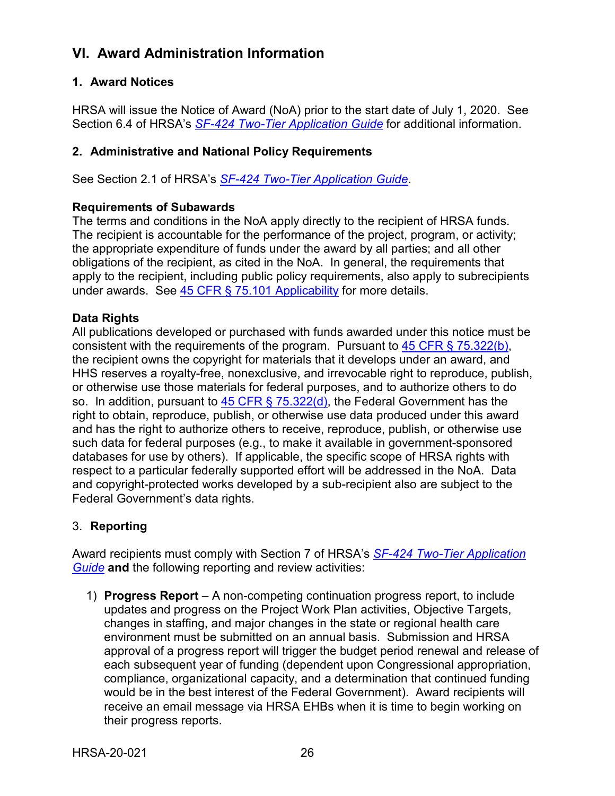# <span id="page-29-0"></span>**VI. Award Administration Information**

### <span id="page-29-1"></span>**1. Award Notices**

HRSA will issue the Notice of Award (NoA) prior to the start date of July 1, 2020. See Section 6.4 of HRSA's *SF-424 [Two-Tier Application Guide](http://www.hrsa.gov/grants/apply/applicationguide/sf424programspecificappguide.pdf)* for additional information.

### <span id="page-29-2"></span>**2. Administrative and National Policy Requirements**

See Section 2.1 of HRSA's *SF-424 [Two-Tier Application Guide](http://www.hrsa.gov/grants/apply/applicationguide/sf424programspecificappguide.pdf)*.

#### **Requirements of Subawards**

The terms and conditions in the NoA apply directly to the recipient of HRSA funds. The recipient is accountable for the performance of the project, program, or activity; the appropriate expenditure of funds under the award by all parties; and all other obligations of the recipient, as cited in the NoA. In general, the requirements that apply to the recipient, including public policy requirements, also apply to subrecipients under awards. See [45 CFR § 75.101 Applicability](https://www.ecfr.gov/cgi-bin/retrieveECFR?gp=1&SID=4d52364ec83fab994c665943dadf9cf7&ty=HTML&h=L&r=PART&n=pt45.1.75) for more details.

#### **Data Rights**

All publications developed or purchased with funds awarded under this notice must be consistent with the requirements of the program. Pursuant to  $45$  CFR  $\S$  75.322(b), the recipient owns the copyright for materials that it develops under an award, and HHS reserves a royalty-free, nonexclusive, and irrevocable right to reproduce, publish, or otherwise use those materials for federal purposes, and to authorize others to do so. In addition, pursuant to  $45$  CFR § 75.322(d), the Federal Government has the right to obtain, reproduce, publish, or otherwise use data produced under this award and has the right to authorize others to receive, reproduce, publish, or otherwise use such data for federal purposes (e.g., to make it available in government-sponsored databases for use by others). If applicable, the specific scope of HRSA rights with respect to a particular federally supported effort will be addressed in the NoA. Data and copyright-protected works developed by a sub-recipient also are subject to the Federal Government's data rights.

### <span id="page-29-3"></span>3. **Reporting**

Award recipients must comply with Section 7 of HRSA's *SF-424 [Two-Tier Application](http://www.hrsa.gov/grants/apply/applicationguide/sf424programspecificappguide.pdf)  [Guide](http://www.hrsa.gov/grants/apply/applicationguide/sf424programspecificappguide.pdf)* **and** the following reporting and review activities:

1) **Progress Report** – A non-competing continuation progress report, to include updates and progress on the Project Work Plan activities, Objective Targets, changes in staffing, and major changes in the state or regional health care environment must be submitted on an annual basis. Submission and HRSA approval of a progress report will trigger the budget period renewal and release of each subsequent year of funding (dependent upon Congressional appropriation, compliance, organizational capacity, and a determination that continued funding would be in the best interest of the Federal Government). Award recipients will receive an email message via HRSA EHBs when it is time to begin working on their progress reports.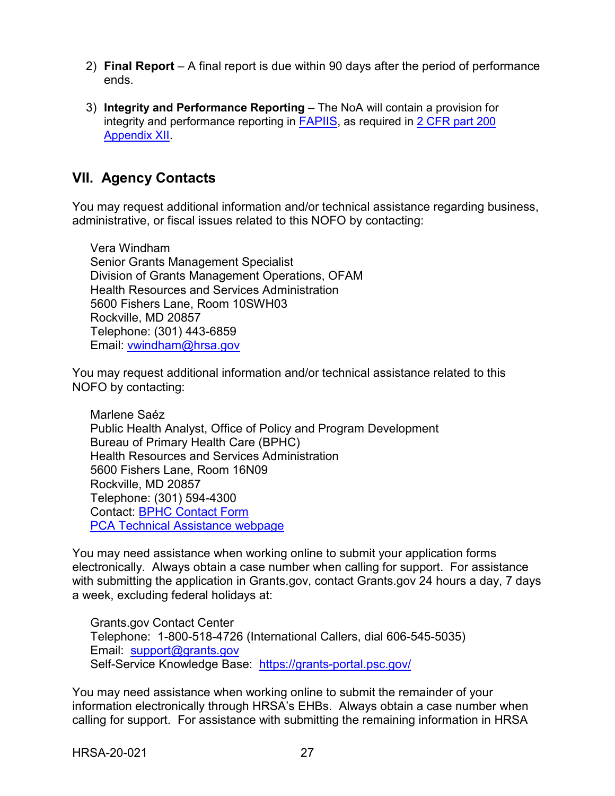- 2) **Final Report**  A final report is due within 90 days after the period of performance ends.
- 3) **Integrity and Performance Reporting**  The NoA will contain a provision for integrity and performance reporting in [FAPIIS,](https://www.fapiis.gov/) as required in [2 CFR part 200](hhttp://www.ecfr.gov/cgi-bin/retrieveECFR?gp=&SID=e36f9a3598cc0426941d82bfd666e83e&mc=true&n=pt2.1.200&r=PART&ty=HTML#ap2.1.200_1521.xii)  [Appendix XII.](hhttp://www.ecfr.gov/cgi-bin/retrieveECFR?gp=&SID=e36f9a3598cc0426941d82bfd666e83e&mc=true&n=pt2.1.200&r=PART&ty=HTML#ap2.1.200_1521.xii)

## <span id="page-30-0"></span>**VII. Agency Contacts**

You may request additional information and/or technical assistance regarding business, administrative, or fiscal issues related to this NOFO by contacting:

Vera Windham Senior Grants Management Specialist Division of Grants Management Operations, OFAM Health Resources and Services Administration 5600 Fishers Lane, Room 10SWH03 Rockville, MD 20857 Telephone: (301) 443-6859 Email: [vwindham@hrsa.gov](mailto:vwindham@hrsa.gov)

You may request additional information and/or technical assistance related to this NOFO by contacting:

Marlene Saéz Public Health Analyst, Office of Policy and Program Development Bureau of Primary Health Care (BPHC) Health Resources and Services Administration 5600 Fishers Lane, Room 16N09 Rockville, MD 20857 Telephone: (301) 594-4300 Contact: [BPHC Contact Form](https://bphccommunications.secure.force.com/ContactBPHC/BPHC_Contact_Form) [PCA Technical Assistance webpage](https://bphc.hrsa.gov/program-opportunities/funding-opportunities/pca)

You may need assistance when working online to submit your application forms electronically. Always obtain a case number when calling for support. For assistance with submitting the application in Grants.gov, contact Grants.gov 24 hours a day, 7 days a week, excluding federal holidays at:

Grants.gov Contact Center Telephone: 1-800-518-4726 (International Callers, dial 606-545-5035) Email: [support@grants.gov](mailto:support@grants.gov) Self-Service Knowledge Base: <https://grants-portal.psc.gov/>

You may need assistance when working online to submit the remainder of your information electronically through HRSA's EHBs. Always obtain a case number when calling for support. For assistance with submitting the remaining information in HRSA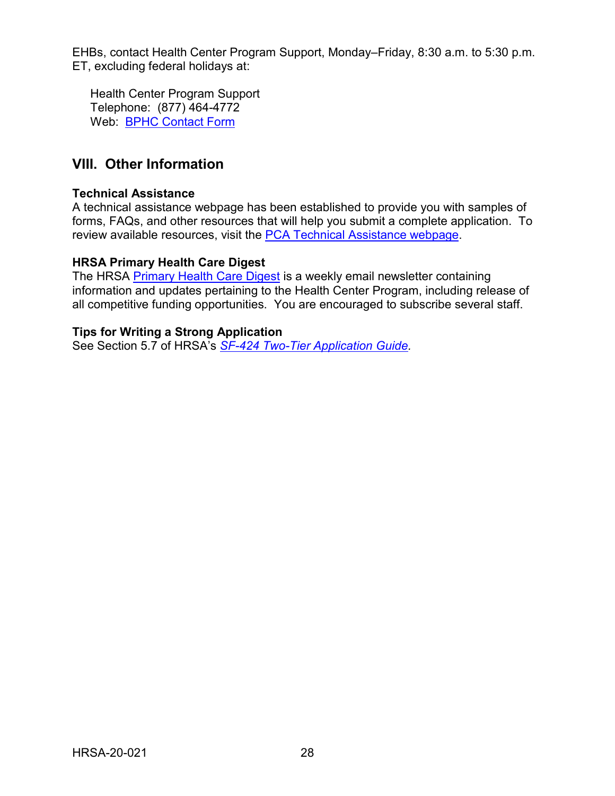EHBs, contact Health Center Program Support, Monday–Friday, 8:30 a.m. to 5:30 p.m. ET, excluding federal holidays at:

Health Center Program Support Telephone: (877) 464-4772 Web: [BPHC Contact Form](https://bphccommunications.secure.force.com/ContactBPHC/BPHC_Contact_Form)

## <span id="page-31-0"></span>**VIII. Other Information**

#### **Technical Assistance**

A technical assistance webpage has been established to provide you with samples of forms, FAQs, and other resources that will help you submit a complete application. To review available resources, visit the [PCA Technical Assistance webpage.](https://bphc.hrsa.gov/program-opportunities/funding-opportunities/pca)

#### **HRSA Primary Health Care Digest**

The HRSA [Primary Health Care Digest](https://public.govdelivery.com/accounts/USHHSHRSA/subscriber/new?topic_id=USHHSHRSA_118) is a weekly email newsletter containing information and updates pertaining to the Health Center Program, including release of all competitive funding opportunities. You are encouraged to subscribe several staff.

#### **Tips for Writing a Strong Application**

See Section 5.7 of HRSA's *SF-424 [Two-Tier Application Guide.](http://www.hrsa.gov/grants/apply/applicationguide/sf424programspecificappguide.pdf)*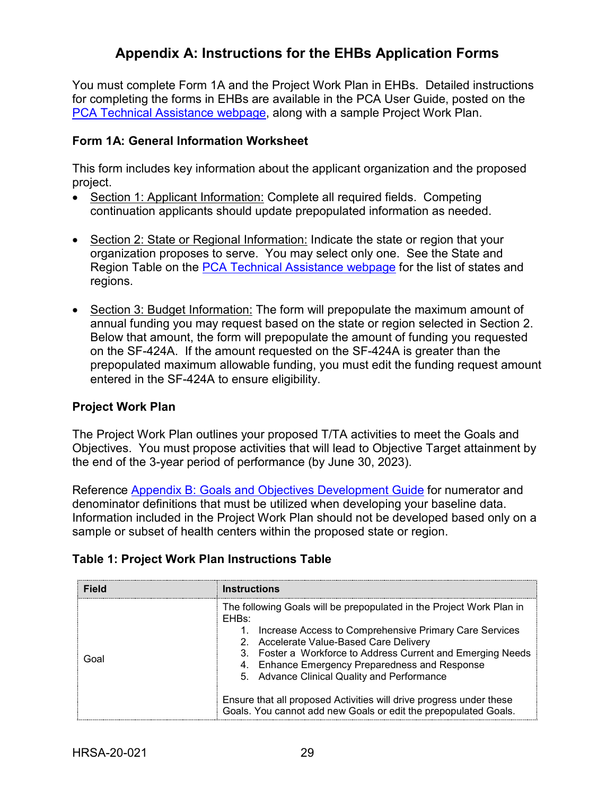# **Appendix A: Instructions for the EHBs Application Forms**

<span id="page-32-0"></span>You must complete Form 1A and the Project Work Plan in EHBs. Detailed instructions for completing the forms in EHBs are available in the PCA User Guide, posted on the [PCA Technical Assistance webpage,](https://bphc.hrsa.gov/program-opportunities/funding-opportunities/pca) along with a sample Project Work Plan.

#### **Form 1A: General Information Worksheet**

This form includes key information about the applicant organization and the proposed project.

- Section 1: Applicant Information: Complete all required fields. Competing continuation applicants should update prepopulated information as needed.
- Section 2: State or Regional Information: Indicate the state or region that your organization proposes to serve. You may select only one. See the State and Region Table on the [PCA Technical Assistance webpage](https://bphc.hrsa.gov/program-opportunities/funding-opportunities/pca) for the list of states and regions.
- Section 3: Budget Information: The form will prepopulate the maximum amount of annual funding you may request based on the state or region selected in Section 2. Below that amount, the form will prepopulate the amount of funding you requested on the SF-424A. If the amount requested on the SF-424A is greater than the prepopulated maximum allowable funding, you must edit the funding request amount entered in the SF-424A to ensure eligibility.

#### **Project Work Plan**

The Project Work Plan outlines your proposed T/TA activities to meet the Goals and Objectives. You must propose activities that will lead to Objective Target attainment by the end of the 3-year period of performance (by June 30, 2023).

Reference [Appendix B: Goals and Objectives Development Guide](#page-35-0) for numerator and denominator definitions that must be utilized when developing your baseline data. Information included in the Project Work Plan should not be developed based only on a sample or subset of health centers within the proposed state or region.

| <b>Field</b> | <b>Instructions</b>                                                                                                                                                                                                                                                                                                                                |
|--------------|----------------------------------------------------------------------------------------------------------------------------------------------------------------------------------------------------------------------------------------------------------------------------------------------------------------------------------------------------|
| Goal         | The following Goals will be prepopulated in the Project Work Plan in<br>EHBs:<br>Increase Access to Comprehensive Primary Care Services<br>2. Accelerate Value-Based Care Delivery<br>3. Foster a Workforce to Address Current and Emerging Needs<br>4. Enhance Emergency Preparedness and Response<br>5. Advance Clinical Quality and Performance |
|              | Ensure that all proposed Activities will drive progress under these<br>Goals. You cannot add new Goals or edit the prepopulated Goals.                                                                                                                                                                                                             |

#### **Table 1: Project Work Plan Instructions Table**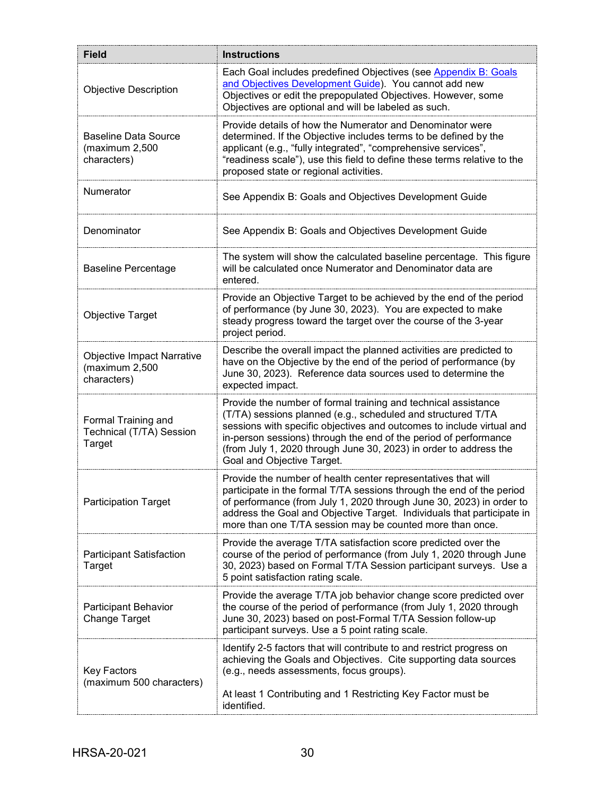| <b>Field</b>                                                       | <b>Instructions</b>                                                                                                                                                                                                                                                                                                                                                            |
|--------------------------------------------------------------------|--------------------------------------------------------------------------------------------------------------------------------------------------------------------------------------------------------------------------------------------------------------------------------------------------------------------------------------------------------------------------------|
| <b>Objective Description</b>                                       | Each Goal includes predefined Objectives (see Appendix B: Goals<br>and Objectives Development Guide). You cannot add new<br>Objectives or edit the prepopulated Objectives. However, some<br>Objectives are optional and will be labeled as such.                                                                                                                              |
| <b>Baseline Data Source</b><br>(maximum 2,500<br>characters)       | Provide details of how the Numerator and Denominator were<br>determined. If the Objective includes terms to be defined by the<br>applicant (e.g., "fully integrated", "comprehensive services",<br>"readiness scale"), use this field to define these terms relative to the<br>proposed state or regional activities.                                                          |
| Numerator                                                          | See Appendix B: Goals and Objectives Development Guide                                                                                                                                                                                                                                                                                                                         |
| Denominator                                                        | See Appendix B: Goals and Objectives Development Guide                                                                                                                                                                                                                                                                                                                         |
| <b>Baseline Percentage</b>                                         | The system will show the calculated baseline percentage. This figure<br>will be calculated once Numerator and Denominator data are<br>entered.                                                                                                                                                                                                                                 |
| <b>Objective Target</b>                                            | Provide an Objective Target to be achieved by the end of the period<br>of performance (by June 30, 2023). You are expected to make<br>steady progress toward the target over the course of the 3-year<br>project period.                                                                                                                                                       |
| <b>Objective Impact Narrative</b><br>(maximum 2,500<br>characters) | Describe the overall impact the planned activities are predicted to<br>have on the Objective by the end of the period of performance (by<br>June 30, 2023). Reference data sources used to determine the<br>expected impact.                                                                                                                                                   |
| Formal Training and<br>Technical (T/TA) Session<br>Target          | Provide the number of formal training and technical assistance<br>(T/TA) sessions planned (e.g., scheduled and structured T/TA<br>sessions with specific objectives and outcomes to include virtual and<br>in-person sessions) through the end of the period of performance<br>(from July 1, 2020 through June 30, 2023) in order to address the<br>Goal and Objective Target. |
| <b>Participation Target</b>                                        | Provide the number of health center representatives that will<br>participate in the formal T/TA sessions through the end of the period<br>of performance (from July 1, 2020 through June 30, 2023) in order to<br>address the Goal and Objective Target. Individuals that participate in<br>more than one T/TA session may be counted more than once.                          |
| <b>Participant Satisfaction</b><br>Target                          | Provide the average T/TA satisfaction score predicted over the<br>course of the period of performance (from July 1, 2020 through June<br>30, 2023) based on Formal T/TA Session participant surveys. Use a<br>5 point satisfaction rating scale.                                                                                                                               |
| Participant Behavior<br><b>Change Target</b>                       | Provide the average T/TA job behavior change score predicted over<br>the course of the period of performance (from July 1, 2020 through<br>June 30, 2023) based on post-Formal T/TA Session follow-up<br>participant surveys. Use a 5 point rating scale.                                                                                                                      |
| Key Factors<br>(maximum 500 characters)                            | Identify 2-5 factors that will contribute to and restrict progress on<br>achieving the Goals and Objectives. Cite supporting data sources<br>(e.g., needs assessments, focus groups).<br>At least 1 Contributing and 1 Restricting Key Factor must be<br>identified.                                                                                                           |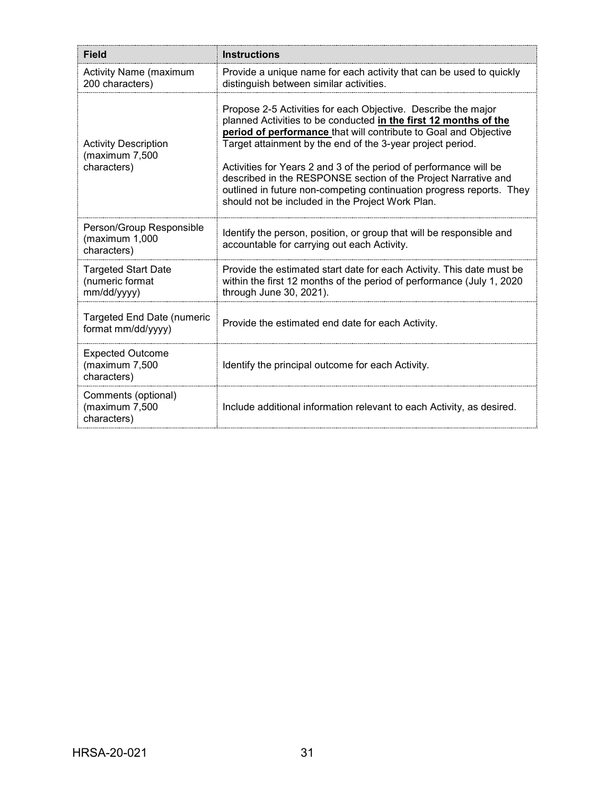| <b>Field</b>                                                 | <b>Instructions</b>                                                                                                                                                                                                                                                                                                                                                                                                                                                                                                                    |
|--------------------------------------------------------------|----------------------------------------------------------------------------------------------------------------------------------------------------------------------------------------------------------------------------------------------------------------------------------------------------------------------------------------------------------------------------------------------------------------------------------------------------------------------------------------------------------------------------------------|
| <b>Activity Name (maximum</b><br>200 characters)             | Provide a unique name for each activity that can be used to quickly<br>distinguish between similar activities.                                                                                                                                                                                                                                                                                                                                                                                                                         |
| <b>Activity Description</b><br>(maximum 7,500<br>characters) | Propose 2-5 Activities for each Objective. Describe the major<br>planned Activities to be conducted in the first 12 months of the<br>period of performance that will contribute to Goal and Objective<br>Target attainment by the end of the 3-year project period.<br>Activities for Years 2 and 3 of the period of performance will be<br>described in the RESPONSE section of the Project Narrative and<br>outlined in future non-competing continuation progress reports. They<br>should not be included in the Project Work Plan. |
| Person/Group Responsible<br>maximum 1,000<br>characters)     | Identify the person, position, or group that will be responsible and<br>accountable for carrying out each Activity.                                                                                                                                                                                                                                                                                                                                                                                                                    |
| <b>Targeted Start Date</b><br>(numeric format<br>mm/dd/yyyy) | Provide the estimated start date for each Activity. This date must be<br>within the first 12 months of the period of performance (July 1, 2020)<br>through June 30, 2021).                                                                                                                                                                                                                                                                                                                                                             |
| <b>Targeted End Date (numeric</b><br>format mm/dd/yyyy)      | Provide the estimated end date for each Activity.                                                                                                                                                                                                                                                                                                                                                                                                                                                                                      |
| <b>Expected Outcome</b><br>(maximum 7,500<br>characters)     | Identify the principal outcome for each Activity.                                                                                                                                                                                                                                                                                                                                                                                                                                                                                      |
| Comments (optional)<br>(maximum 7,500<br>characters)         | Include additional information relevant to each Activity, as desired.                                                                                                                                                                                                                                                                                                                                                                                                                                                                  |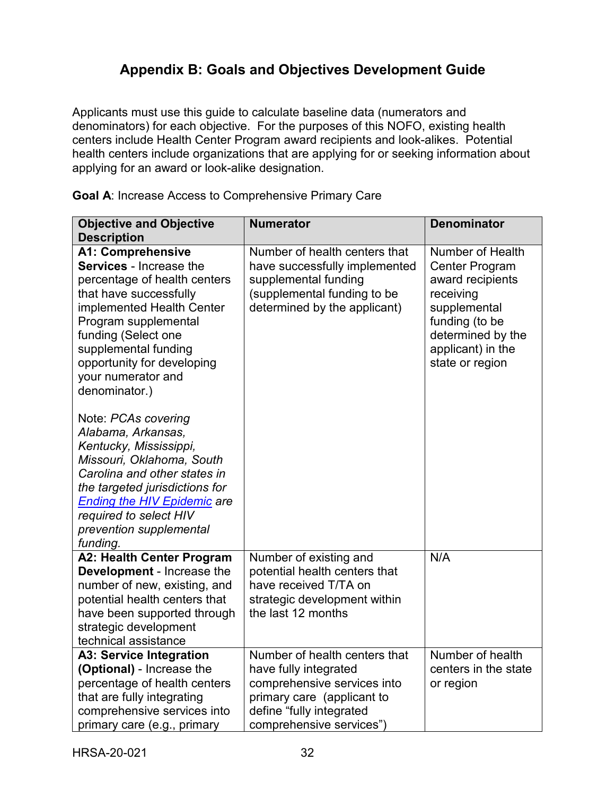# **Appendix B: Goals and Objectives Development Guide**

<span id="page-35-0"></span>Applicants must use this guide to calculate baseline data (numerators and denominators) for each objective. For the purposes of this NOFO, existing health centers include Health Center Program award recipients and look-alikes. Potential health centers include organizations that are applying for or seeking information about applying for an award or look-alike designation.

**Goal A**: Increase Access to Comprehensive Primary Care

| <b>Objective and Objective</b><br><b>Description</b>                                                                                                                                                                                                                                          | <b>Numerator</b>                                                                                                                                                            | <b>Denominator</b>                                                                                                                                                        |
|-----------------------------------------------------------------------------------------------------------------------------------------------------------------------------------------------------------------------------------------------------------------------------------------------|-----------------------------------------------------------------------------------------------------------------------------------------------------------------------------|---------------------------------------------------------------------------------------------------------------------------------------------------------------------------|
| <b>A1: Comprehensive</b><br><b>Services - Increase the</b><br>percentage of health centers<br>that have successfully<br>implemented Health Center<br>Program supplemental<br>funding (Select one<br>supplemental funding<br>opportunity for developing<br>your numerator and<br>denominator.) | Number of health centers that<br>have successfully implemented<br>supplemental funding<br>(supplemental funding to be<br>determined by the applicant)                       | Number of Health<br><b>Center Program</b><br>award recipients<br>receiving<br>supplemental<br>funding (to be<br>determined by the<br>applicant) in the<br>state or region |
| Note: PCAs covering<br>Alabama, Arkansas,<br>Kentucky, Mississippi,<br>Missouri, Oklahoma, South<br>Carolina and other states in<br>the targeted jurisdictions for<br><b>Ending the HIV Epidemic are</b><br>required to select HIV<br>prevention supplemental<br>funding.                     |                                                                                                                                                                             |                                                                                                                                                                           |
| <b>A2: Health Center Program</b><br>Development - Increase the<br>number of new, existing, and<br>potential health centers that<br>have been supported through<br>strategic development<br>technical assistance                                                                               | Number of existing and<br>potential health centers that<br>have received T/TA on<br>strategic development within<br>the last 12 months                                      | N/A                                                                                                                                                                       |
| <b>A3: Service Integration</b><br>(Optional) - Increase the<br>percentage of health centers<br>that are fully integrating<br>comprehensive services into<br>primary care (e.g., primary                                                                                                       | Number of health centers that<br>have fully integrated<br>comprehensive services into<br>primary care (applicant to<br>define "fully integrated<br>comprehensive services") | Number of health<br>centers in the state<br>or region                                                                                                                     |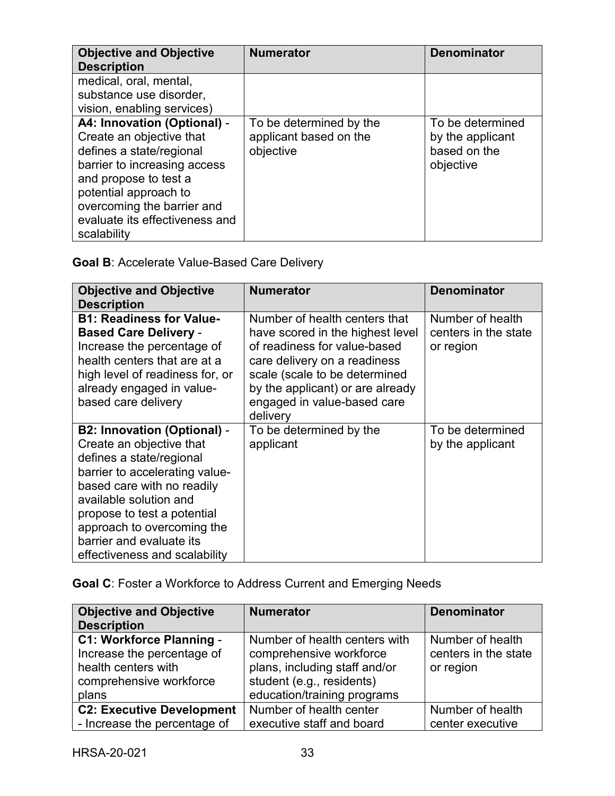| <b>Objective and Objective</b><br><b>Description</b>                                                                                                                                                                                                 | <b>Numerator</b>                                               | <b>Denominator</b>                                                |
|------------------------------------------------------------------------------------------------------------------------------------------------------------------------------------------------------------------------------------------------------|----------------------------------------------------------------|-------------------------------------------------------------------|
| medical, oral, mental,<br>substance use disorder,<br>vision, enabling services)                                                                                                                                                                      |                                                                |                                                                   |
| A4: Innovation (Optional) -<br>Create an objective that<br>defines a state/regional<br>barrier to increasing access<br>and propose to test a<br>potential approach to<br>overcoming the barrier and<br>evaluate its effectiveness and<br>scalability | To be determined by the<br>applicant based on the<br>objective | To be determined<br>by the applicant<br>based on the<br>objective |

**Goal B**: Accelerate Value-Based Care Delivery

| <b>Objective and Objective</b><br><b>Description</b>                                                                                                                                                                                                                                                           | <b>Numerator</b>                                                                                                                                                                                                                                  | <b>Denominator</b>                                    |
|----------------------------------------------------------------------------------------------------------------------------------------------------------------------------------------------------------------------------------------------------------------------------------------------------------------|---------------------------------------------------------------------------------------------------------------------------------------------------------------------------------------------------------------------------------------------------|-------------------------------------------------------|
| <b>B1: Readiness for Value-</b><br><b>Based Care Delivery -</b><br>Increase the percentage of<br>health centers that are at a<br>high level of readiness for, or<br>already engaged in value-<br>based care delivery                                                                                           | Number of health centers that<br>have scored in the highest level<br>of readiness for value-based<br>care delivery on a readiness<br>scale (scale to be determined<br>by the applicant) or are already<br>engaged in value-based care<br>delivery | Number of health<br>centers in the state<br>or region |
| <b>B2: Innovation (Optional) -</b><br>Create an objective that<br>defines a state/regional<br>barrier to accelerating value-<br>based care with no readily<br>available solution and<br>propose to test a potential<br>approach to overcoming the<br>barrier and evaluate its<br>effectiveness and scalability | To be determined by the<br>applicant                                                                                                                                                                                                              | To be determined<br>by the applicant                  |

**Goal C**: Foster a Workforce to Address Current and Emerging Needs

| <b>Objective and Objective</b><br><b>Description</b>                                                              | <b>Numerator</b>                                                                                                                                      | <b>Denominator</b>                                    |
|-------------------------------------------------------------------------------------------------------------------|-------------------------------------------------------------------------------------------------------------------------------------------------------|-------------------------------------------------------|
| C1: Workforce Planning -<br>Increase the percentage of<br>health centers with<br>comprehensive workforce<br>plans | Number of health centers with<br>comprehensive workforce<br>plans, including staff and/or<br>student (e.g., residents)<br>education/training programs | Number of health<br>centers in the state<br>or region |
| <b>C2: Executive Development</b>                                                                                  | Number of health center                                                                                                                               | Number of health                                      |
| - Increase the percentage of                                                                                      | executive staff and board                                                                                                                             | center executive                                      |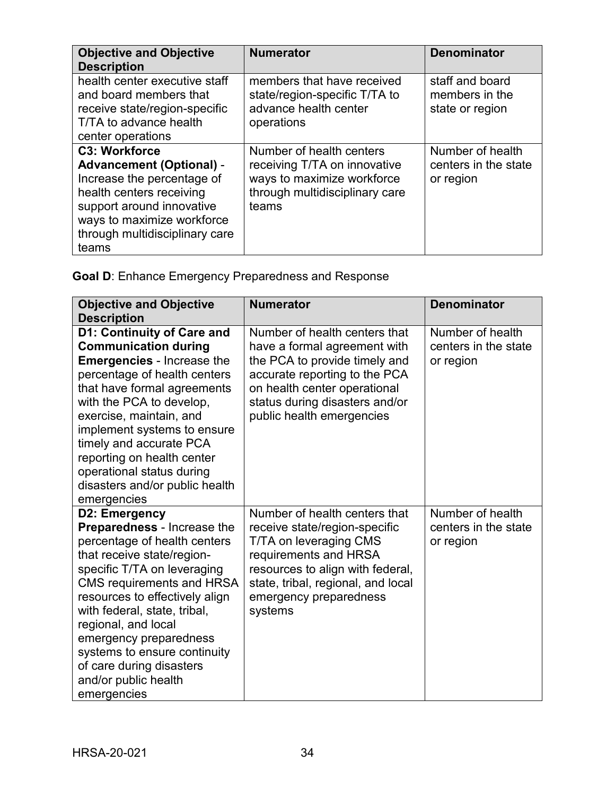| <b>Objective and Objective</b><br><b>Description</b>                                                                                                                                                                    | <b>Numerator</b>                                                                                                                  | <b>Denominator</b>                                    |
|-------------------------------------------------------------------------------------------------------------------------------------------------------------------------------------------------------------------------|-----------------------------------------------------------------------------------------------------------------------------------|-------------------------------------------------------|
| health center executive staff<br>and board members that<br>receive state/region-specific<br>T/TA to advance health<br>center operations                                                                                 | members that have received<br>state/region-specific T/TA to<br>advance health center<br>operations                                | staff and board<br>members in the<br>state or region  |
| <b>C3: Workforce</b><br><b>Advancement (Optional) -</b><br>Increase the percentage of<br>health centers receiving<br>support around innovative<br>ways to maximize workforce<br>through multidisciplinary care<br>teams | Number of health centers<br>receiving T/TA on innovative<br>ways to maximize workforce<br>through multidisciplinary care<br>teams | Number of health<br>centers in the state<br>or region |

**Goal D**: Enhance Emergency Preparedness and Response

| <b>Objective and Objective</b><br><b>Description</b>                                                                                                                                                                                                                                                                                                                                                | <b>Numerator</b>                                                                                                                                                                                                                 | <b>Denominator</b>                                    |
|-----------------------------------------------------------------------------------------------------------------------------------------------------------------------------------------------------------------------------------------------------------------------------------------------------------------------------------------------------------------------------------------------------|----------------------------------------------------------------------------------------------------------------------------------------------------------------------------------------------------------------------------------|-------------------------------------------------------|
| D1: Continuity of Care and<br><b>Communication during</b><br><b>Emergencies - Increase the</b><br>percentage of health centers<br>that have formal agreements<br>with the PCA to develop,<br>exercise, maintain, and<br>implement systems to ensure<br>timely and accurate PCA<br>reporting on health center<br>operational status during<br>disasters and/or public health<br>emergencies          | Number of health centers that<br>have a formal agreement with<br>the PCA to provide timely and<br>accurate reporting to the PCA<br>on health center operational<br>status during disasters and/or<br>public health emergencies   | Number of health<br>centers in the state<br>or region |
| D2: Emergency<br>Preparedness - Increase the<br>percentage of health centers<br>that receive state/region-<br>specific T/TA on leveraging<br><b>CMS requirements and HRSA</b><br>resources to effectively align<br>with federal, state, tribal,<br>regional, and local<br>emergency preparedness<br>systems to ensure continuity<br>of care during disasters<br>and/or public health<br>emergencies | Number of health centers that<br>receive state/region-specific<br>T/TA on leveraging CMS<br>requirements and HRSA<br>resources to align with federal,<br>state, tribal, regional, and local<br>emergency preparedness<br>systems | Number of health<br>centers in the state<br>or region |